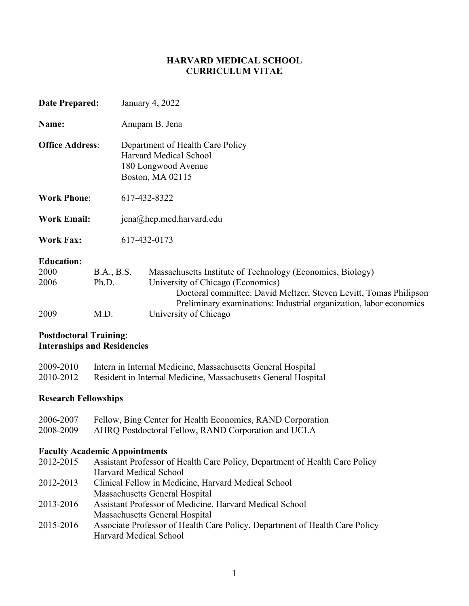## **HARVARD MEDICAL SCHOOL CURRICULUM VITAE**

| <b>Date Prepared:</b>             |                     |                                                                                                       | January 4, 2022                                                                                                                                                                                                                            |
|-----------------------------------|---------------------|-------------------------------------------------------------------------------------------------------|--------------------------------------------------------------------------------------------------------------------------------------------------------------------------------------------------------------------------------------------|
| Name:                             |                     |                                                                                                       | Anupam B. Jena                                                                                                                                                                                                                             |
| <b>Office Address:</b>            |                     | Department of Health Care Policy<br>Harvard Medical School<br>180 Longwood Avenue<br>Boston, MA 02115 |                                                                                                                                                                                                                                            |
| <b>Work Phone:</b>                |                     | 617-432-8322                                                                                          |                                                                                                                                                                                                                                            |
| <b>Work Email:</b>                |                     |                                                                                                       | jena@hcp.med.harvard.edu                                                                                                                                                                                                                   |
| <b>Work Fax:</b>                  |                     | 617-432-0173                                                                                          |                                                                                                                                                                                                                                            |
| <b>Education:</b><br>2000<br>2006 | B.A., B.S.<br>Ph.D. |                                                                                                       | Massachusetts Institute of Technology (Economics, Biology)<br>University of Chicago (Economics)<br>Doctoral committee: David Meltzer, Steven Levitt, Tomas Philipson<br>Preliminary examinations: Industrial organization, labor economics |
| 2009                              | M.D.                |                                                                                                       | University of Chicago                                                                                                                                                                                                                      |

## **Postdoctoral Training**: **Internships and Residencies**

| 2009-2010 | Intern in Internal Medicine, Massachusetts General Hospital   |
|-----------|---------------------------------------------------------------|
| 2010-2012 | Resident in Internal Medicine, Massachusetts General Hospital |

## **Research Fellowships**

| 2006-2007 | Fellow, Bing Center for Health Economics, RAND Corporation |
|-----------|------------------------------------------------------------|
| 2008-2009 | AHRQ Postdoctoral Fellow, RAND Corporation and UCLA        |

## **Faculty Academic Appointments**

| 2012-2015 | Assistant Professor of Health Care Policy, Department of Health Care Policy |
|-----------|-----------------------------------------------------------------------------|
|           | Harvard Medical School                                                      |
| 2012-2013 | Clinical Fellow in Medicine, Harvard Medical School                         |
|           | Massachusetts General Hospital                                              |
| 2013-2016 | Assistant Professor of Medicine, Harvard Medical School                     |
|           | Massachusetts General Hospital                                              |
| 2015-2016 | Associate Professor of Health Care Policy, Department of Health Care Policy |
|           | Harvard Medical School                                                      |
|           |                                                                             |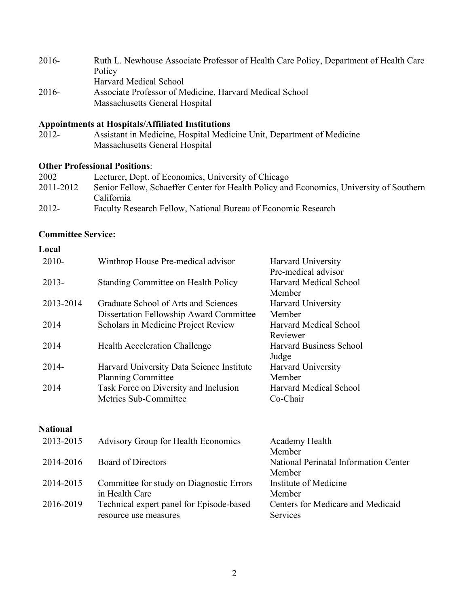| $2016-$ | Ruth L. Newhouse Associate Professor of Health Care Policy, Department of Health Care |
|---------|---------------------------------------------------------------------------------------|
|         | Policy                                                                                |
|         | <b>Harvard Medical School</b>                                                         |
| $2016-$ | Associate Professor of Medicine, Harvard Medical School                               |
|         | Massachusetts General Hospital                                                        |

#### **Appointments at Hospitals/Affiliated Institutions**

| 2012- | Assistant in Medicine, Hospital Medicine Unit, Department of Medicine |
|-------|-----------------------------------------------------------------------|
|       | Massachusetts General Hospital                                        |

#### **Other Professional Positions**:

| 2002      | Lecturer, Dept. of Economics, University of Chicago                                     |
|-----------|-----------------------------------------------------------------------------------------|
| 2011-2012 | Senior Fellow, Schaeffer Center for Health Policy and Economics, University of Southern |
|           | California                                                                              |
| $2012 -$  | Faculty Research Fellow, National Bureau of Economic Research                           |

#### **[Committee](http://cv.hms.harvard.edu/index.php?page=societies) Service:**

#### **Local** 2010- Winthrop House Pre-medical advisor Harvard University Pre-medical advisor 2013- Standing Committee on Health Policy Harvard Medical School Member 2013-2014 Graduate School of Arts and Sciences Dissertation Fellowship Award Committee Harvard University Member<br>Harvard Medical School 2014 Scholars in Medicine Project Review Reviewer 2014 Health Acceleration Challenge Harvard Business School Judge 2014- Harvard University Data Science Institute Planning Committee Harvard University Member 2014 Task Force on Diversity and Inclusion Metrics Sub-Committee Harvard Medical School Co-Chair **National** 2013-2015 Advisory Group for Health Economics Academy Health Member 2014-2016 Board of Directors National Perinatal Information Center Member 2014-2015 Committee for study on Diagnostic Errors Institute of Medicine

in Health Care Member 2016-2019 Technical expert panel for Episode-based resource use measures Centers for Medicare and Medicaid Services

2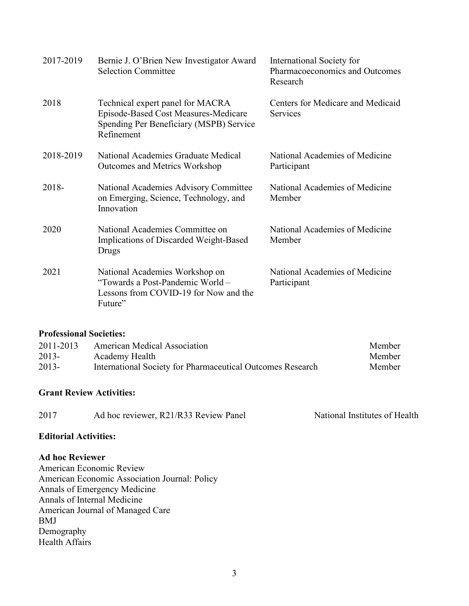| 2017-2019 | Bernie J. O'Brien New Investigator Award<br><b>Selection Committee</b>                                                            | International Society for<br>Pharmacoeconomics and Outcomes<br>Research |
|-----------|-----------------------------------------------------------------------------------------------------------------------------------|-------------------------------------------------------------------------|
| 2018      | Technical expert panel for MACRA<br>Episode-Based Cost Measures-Medicare<br>Spending Per Beneficiary (MSPB) Service<br>Refinement | Centers for Medicare and Medicaid<br>Services                           |
| 2018-2019 | National Academies Graduate Medical<br><b>Outcomes and Metrics Workshop</b>                                                       | National Academies of Medicine<br>Participant                           |
| 2018-     | National Academies Advisory Committee<br>on Emerging, Science, Technology, and<br>Innovation                                      | National Academies of Medicine<br>Member                                |
| 2020      | National Academies Committee on<br>Implications of Discarded Weight-Based<br>Drugs                                                | National Academies of Medicine<br>Member                                |
| 2021      | National Academies Workshop on<br>"Towards a Post-Pandemic World -<br>Lessons from COVID-19 for Now and the<br>Future"            | National Academies of Medicine<br>Participant                           |

### **[Professional Societies:](http://cv.hms.harvard.edu/index.php?page=societies)**

| 2011-2013 | <b>American Medical Association</b>                        | Member |
|-----------|------------------------------------------------------------|--------|
| $2013 -$  | Academy Health                                             | Member |
| $2013-$   | International Society for Pharmaceutical Outcomes Research | Member |

# **[Grant](http://cv.hms.harvard.edu/index.php?page=societies) Review Activities:**

| 2017 | Ad hoc reviewer, R21/R33 Review Panel | National Institutes of Health |
|------|---------------------------------------|-------------------------------|
|      |                                       |                               |

# **Editorial Activities:**

### **Ad hoc Reviewer**

American Economic Review American Economic Association Journal: Policy Annals of Emergency Medicine Annals of Internal Medicine American Journal of Managed Care BMJ Demography Health Affairs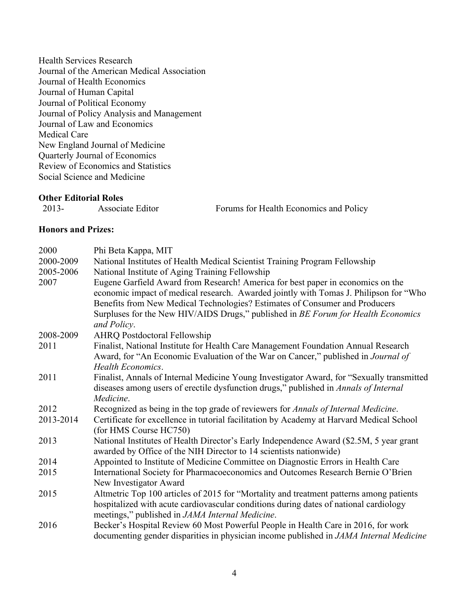Health Services Research Journal of the American Medical Association Journal of Health Economics Journal of Human Capital Journal of Political Economy Journal of Policy Analysis and Management Journal of Law and Economics Medical Care New England Journal of Medicine Quarterly Journal of Economics Review of Economics and Statistics Social Science and Medicine

### **Other Editorial Roles**

| $2013-$ | Associate Editor | Forums for Health Economics and Policy |
|---------|------------------|----------------------------------------|
|---------|------------------|----------------------------------------|

### **Honors and Prizes:**

| 2000      | Phi Beta Kappa, MIT                                                                                                                                                                                                                                                                                                                          |  |  |
|-----------|----------------------------------------------------------------------------------------------------------------------------------------------------------------------------------------------------------------------------------------------------------------------------------------------------------------------------------------------|--|--|
| 2000-2009 | National Institutes of Health Medical Scientist Training Program Fellowship                                                                                                                                                                                                                                                                  |  |  |
| 2005-2006 | National Institute of Aging Training Fellowship                                                                                                                                                                                                                                                                                              |  |  |
| 2007      | Eugene Garfield Award from Research! America for best paper in economics on the<br>economic impact of medical research. Awarded jointly with Tomas J. Philipson for "Who<br>Benefits from New Medical Technologies? Estimates of Consumer and Producers<br>Surpluses for the New HIV/AIDS Drugs," published in BE Forum for Health Economics |  |  |
|           | and Policy.                                                                                                                                                                                                                                                                                                                                  |  |  |
| 2008-2009 | <b>AHRQ Postdoctoral Fellowship</b>                                                                                                                                                                                                                                                                                                          |  |  |
| 2011      | Finalist, National Institute for Health Care Management Foundation Annual Research<br>Award, for "An Economic Evaluation of the War on Cancer," published in Journal of<br><b>Health Economics.</b>                                                                                                                                          |  |  |
| 2011      | Finalist, Annals of Internal Medicine Young Investigator Award, for "Sexually transmitted<br>diseases among users of erectile dysfunction drugs," published in Annals of Internal<br>Medicine.                                                                                                                                               |  |  |
| 2012      | Recognized as being in the top grade of reviewers for Annals of Internal Medicine.                                                                                                                                                                                                                                                           |  |  |
| 2013-2014 | Certificate for excellence in tutorial facilitation by Academy at Harvard Medical School<br>(for HMS Course HC750)                                                                                                                                                                                                                           |  |  |
| 2013      | National Institutes of Health Director's Early Independence Award (\$2.5M, 5 year grant<br>awarded by Office of the NIH Director to 14 scientists nationwide)                                                                                                                                                                                |  |  |
| 2014      | Appointed to Institute of Medicine Committee on Diagnostic Errors in Health Care                                                                                                                                                                                                                                                             |  |  |
| 2015      | International Society for Pharmacoeconomics and Outcomes Research Bernie O'Brien<br>New Investigator Award                                                                                                                                                                                                                                   |  |  |
| 2015      | Altmetric Top 100 articles of 2015 for "Mortality and treatment patterns among patients<br>hospitalized with acute cardiovascular conditions during dates of national cardiology<br>meetings," published in JAMA Internal Medicine.                                                                                                          |  |  |
| 2016      | Becker's Hospital Review 60 Most Powerful People in Health Care in 2016, for work<br>documenting gender disparities in physician income published in JAMA Internal Medicine                                                                                                                                                                  |  |  |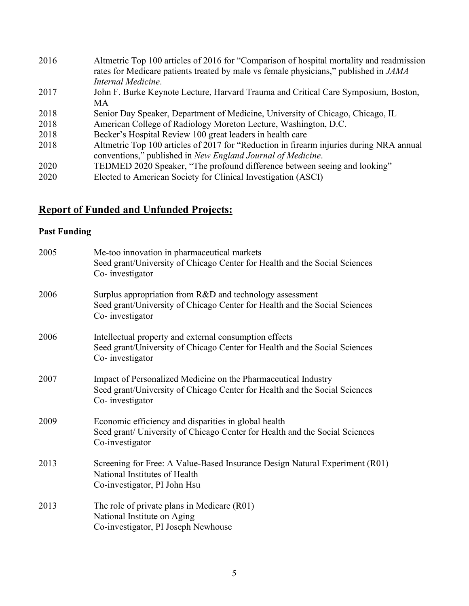| 2016 | Altmetric Top 100 articles of 2016 for "Comparison of hospital mortality and readmission<br>rates for Medicare patients treated by male vs female physicians," published in JAMA<br>Internal Medicine. |
|------|--------------------------------------------------------------------------------------------------------------------------------------------------------------------------------------------------------|
| 2017 | John F. Burke Keynote Lecture, Harvard Trauma and Critical Care Symposium, Boston,<br>MA                                                                                                               |
| 2018 | Senior Day Speaker, Department of Medicine, University of Chicago, Chicago, IL                                                                                                                         |
| 2018 | American College of Radiology Moreton Lecture, Washington, D.C.                                                                                                                                        |
| 2018 | Becker's Hospital Review 100 great leaders in health care                                                                                                                                              |
| 2018 | Altmetric Top 100 articles of 2017 for "Reduction in firearm injuries during NRA annual<br>conventions," published in New England Journal of Medicine.                                                 |
| 2020 | TEDMED 2020 Speaker, "The profound difference between seeing and looking"                                                                                                                              |
| 2020 | Elected to American Society for Clinical Investigation (ASCI)                                                                                                                                          |

# **Report of Funded and Unfunded Projects:**

# **Past Funding**

| 2005 | Me-too innovation in pharmaceutical markets<br>Seed grant/University of Chicago Center for Health and the Social Sciences<br>Co-investigator                    |
|------|-----------------------------------------------------------------------------------------------------------------------------------------------------------------|
| 2006 | Surplus appropriation from R&D and technology assessment<br>Seed grant/University of Chicago Center for Health and the Social Sciences<br>Co-investigator       |
| 2006 | Intellectual property and external consumption effects<br>Seed grant/University of Chicago Center for Health and the Social Sciences<br>Co-investigator         |
| 2007 | Impact of Personalized Medicine on the Pharmaceutical Industry<br>Seed grant/University of Chicago Center for Health and the Social Sciences<br>Co-investigator |
| 2009 | Economic efficiency and disparities in global health<br>Seed grant/ University of Chicago Center for Health and the Social Sciences<br>Co-investigator          |
| 2013 | Screening for Free: A Value-Based Insurance Design Natural Experiment (R01)<br>National Institutes of Health<br>Co-investigator, PI John Hsu                    |
| 2013 | The role of private plans in Medicare (R01)<br>National Institute on Aging<br>Co-investigator, PI Joseph Newhouse                                               |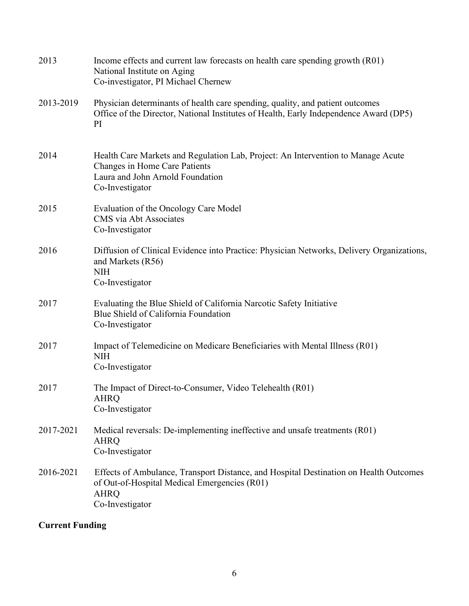| 2013      | Income effects and current law forecasts on health care spending growth (R01)<br>National Institute on Aging<br>Co-investigator, PI Michael Chernew                          |
|-----------|------------------------------------------------------------------------------------------------------------------------------------------------------------------------------|
| 2013-2019 | Physician determinants of health care spending, quality, and patient outcomes<br>Office of the Director, National Institutes of Health, Early Independence Award (DP5)<br>PI |
| 2014      | Health Care Markets and Regulation Lab, Project: An Intervention to Manage Acute<br>Changes in Home Care Patients<br>Laura and John Arnold Foundation<br>Co-Investigator     |
| 2015      | Evaluation of the Oncology Care Model<br>CMS via Abt Associates<br>Co-Investigator                                                                                           |
| 2016      | Diffusion of Clinical Evidence into Practice: Physician Networks, Delivery Organizations,<br>and Markets (R56)<br><b>NIH</b><br>Co-Investigator                              |
| 2017      | Evaluating the Blue Shield of California Narcotic Safety Initiative<br>Blue Shield of California Foundation<br>Co-Investigator                                               |
| 2017      | Impact of Telemedicine on Medicare Beneficiaries with Mental Illness (R01)<br><b>NIH</b><br>Co-Investigator                                                                  |
| 2017      | The Impact of Direct-to-Consumer, Video Telehealth (R01)<br><b>AHRQ</b><br>Co-Investigator                                                                                   |
| 2017-2021 | Medical reversals: De-implementing ineffective and unsafe treatments (R01)<br><b>AHRQ</b><br>Co-Investigator                                                                 |
| 2016-2021 | Effects of Ambulance, Transport Distance, and Hospital Destination on Health Outcomes<br>of Out-of-Hospital Medical Emergencies (R01)<br><b>AHRQ</b><br>Co-Investigator      |

# **Current Funding**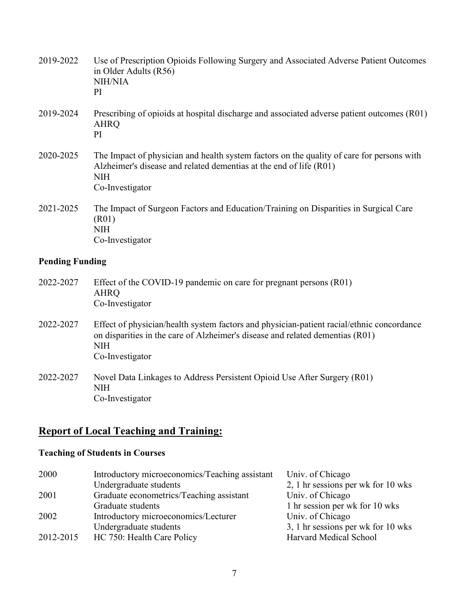| 2019-2022              | Use of Prescription Opioids Following Surgery and Associated Adverse Patient Outcomes<br>in Older Adults (R56)<br>NIH/NIA<br>PI                                                                             |
|------------------------|-------------------------------------------------------------------------------------------------------------------------------------------------------------------------------------------------------------|
| 2019-2024              | Prescribing of opioids at hospital discharge and associated adverse patient outcomes (R01)<br><b>AHRQ</b><br>PI                                                                                             |
| 2020-2025              | The Impact of physician and health system factors on the quality of care for persons with<br>Alzheimer's disease and related dementias at the end of life (R01)<br><b>NIH</b><br>Co-Investigator            |
| 2021-2025              | The Impact of Surgeon Factors and Education/Training on Disparities in Surgical Care<br>(R01)<br><b>NIH</b><br>Co-Investigator                                                                              |
| <b>Pending Funding</b> |                                                                                                                                                                                                             |
| 2022-2027              | Effect of the COVID-19 pandemic on care for pregnant persons (R01)<br><b>AHRQ</b><br>Co-Investigator                                                                                                        |
| 2022-2027              | Effect of physician/health system factors and physician-patient racial/ethnic concordance<br>on disparities in the care of Alzheimer's disease and related dementias (R01)<br><b>NIH</b><br>Co-Investigator |
| 2022-2027              | Novel Data Linkages to Address Persistent Opioid Use After Surgery (R01)<br><b>NIH</b><br>Co-Investigator                                                                                                   |

# **Report of Local Teaching and Training:**

# **Teaching of Students in Courses**

| 2000      | Introductory microeconomics/Teaching assistant | Univ. of Chicago                   |
|-----------|------------------------------------------------|------------------------------------|
|           | Undergraduate students                         | 2, 1 hr sessions per wk for 10 wks |
| 2001      | Graduate econometrics/Teaching assistant       | Univ. of Chicago                   |
|           | Graduate students                              | 1 hr session per wk for 10 wks     |
| 2002      | Introductory microeconomics/Lecturer           | Univ. of Chicago                   |
|           | Undergraduate students                         | 3, 1 hr sessions per wk for 10 wks |
| 2012-2015 | HC 750: Health Care Policy                     | Harvard Medical School             |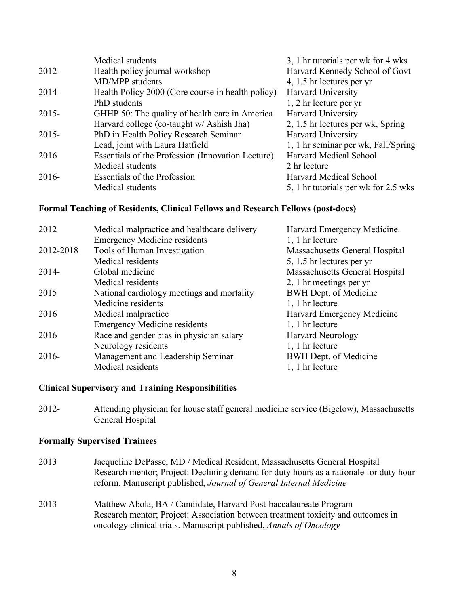|          | Medical students                                  | 3, 1 hr tutorials per wk for 4 wks   |
|----------|---------------------------------------------------|--------------------------------------|
| $2012 -$ | Health policy journal workshop                    | Harvard Kennedy School of Govt       |
|          | MD/MPP students                                   | 4, 1.5 hr lectures per yr            |
| $2014-$  | Health Policy 2000 (Core course in health policy) | <b>Harvard University</b>            |
|          | PhD students                                      | 1, 2 hr lecture per yr               |
| $2015 -$ | GHHP 50: The quality of health care in America    | <b>Harvard University</b>            |
|          | Harvard college (co-taught w/ Ashish Jha)         | 2, 1.5 hr lectures per wk, Spring    |
| $2015 -$ | PhD in Health Policy Research Seminar             | Harvard University                   |
|          | Lead, joint with Laura Hatfield                   | 1, 1 hr seminar per wk, Fall/Spring  |
| 2016     | Essentials of the Profession (Innovation Lecture) | Harvard Medical School               |
|          | Medical students                                  | 2 hr lecture                         |
| $2016-$  | <b>Essentials of the Profession</b>               | Harvard Medical School               |
|          | Medical students                                  | 5, 1 hr tutorials per wk for 2.5 wks |

### **Formal Teaching of Residents, Clinical Fellows and Research Fellows (post-docs)**

| 2012      | Medical malpractice and healthcare delivery | Harvard Emergency Medicine.    |
|-----------|---------------------------------------------|--------------------------------|
|           | <b>Emergency Medicine residents</b>         | 1, 1 hr lecture                |
| 2012-2018 | Tools of Human Investigation                | Massachusetts General Hospital |
|           | Medical residents                           | 5, 1.5 hr lectures per yr      |
| $2014-$   | Global medicine                             | Massachusetts General Hospital |
|           | Medical residents                           | 2, 1 hr meetings per yr        |
| 2015      | National cardiology meetings and mortality  | <b>BWH Dept. of Medicine</b>   |
|           | Medicine residents                          | 1, 1 hr lecture                |
| 2016      | Medical malpractice                         | Harvard Emergency Medicine     |
|           | <b>Emergency Medicine residents</b>         | 1, 1 hr lecture                |
| 2016      | Race and gender bias in physician salary    | <b>Harvard Neurology</b>       |
|           | Neurology residents                         | 1, 1 hr lecture                |
| $2016-$   | Management and Leadership Seminar           | BWH Dept. of Medicine          |
|           | Medical residents                           | 1, 1 hr lecture                |
|           |                                             |                                |

### **Clinical Supervisory and Training Responsibilities**

2012- Attending physician for house staff general medicine service (Bigelow), Massachusetts General Hospital

#### **Formally Supervised Trainees**

- 2013 Jacqueline DePasse, MD / Medical Resident, Massachusetts General Hospital Research mentor; Project: Declining demand for duty hours as a rationale for duty hour reform. Manuscript published, *Journal of General Internal Medicine*
- 2013 Matthew Abola, BA / Candidate, Harvard Post-baccalaureate Program Research mentor; Project: Association between treatment toxicity and outcomes in oncology clinical trials. Manuscript published, *Annals of Oncology*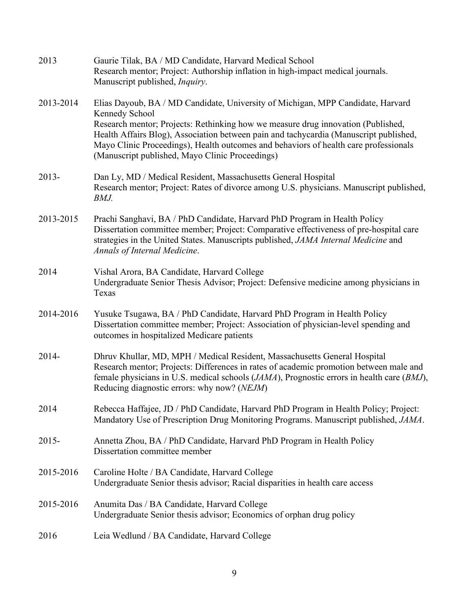| 2013      | Gaurie Tilak, BA / MD Candidate, Harvard Medical School<br>Research mentor; Project: Authorship inflation in high-impact medical journals.<br>Manuscript published, <i>Inquiry</i> .                                                                                                                                                                                                                                      |
|-----------|---------------------------------------------------------------------------------------------------------------------------------------------------------------------------------------------------------------------------------------------------------------------------------------------------------------------------------------------------------------------------------------------------------------------------|
| 2013-2014 | Elias Dayoub, BA / MD Candidate, University of Michigan, MPP Candidate, Harvard<br>Kennedy School<br>Research mentor; Projects: Rethinking how we measure drug innovation (Published,<br>Health Affairs Blog), Association between pain and tachycardia (Manuscript published,<br>Mayo Clinic Proceedings), Health outcomes and behaviors of health care professionals<br>(Manuscript published, Mayo Clinic Proceedings) |
| $2013 -$  | Dan Ly, MD / Medical Resident, Massachusetts General Hospital<br>Research mentor; Project: Rates of divorce among U.S. physicians. Manuscript published,<br>BMJ.                                                                                                                                                                                                                                                          |
| 2013-2015 | Prachi Sanghavi, BA / PhD Candidate, Harvard PhD Program in Health Policy<br>Dissertation committee member; Project: Comparative effectiveness of pre-hospital care<br>strategies in the United States. Manuscripts published, JAMA Internal Medicine and<br>Annals of Internal Medicine.                                                                                                                                 |
| 2014      | Vishal Arora, BA Candidate, Harvard College<br>Undergraduate Senior Thesis Advisor; Project: Defensive medicine among physicians in<br>Texas                                                                                                                                                                                                                                                                              |
| 2014-2016 | Yusuke Tsugawa, BA / PhD Candidate, Harvard PhD Program in Health Policy<br>Dissertation committee member; Project: Association of physician-level spending and<br>outcomes in hospitalized Medicare patients                                                                                                                                                                                                             |
| $2014 -$  | Dhruv Khullar, MD, MPH / Medical Resident, Massachusetts General Hospital<br>Research mentor; Projects: Differences in rates of academic promotion between male and<br>female physicians in U.S. medical schools (JAMA), Prognostic errors in health care (BMJ),<br>Reducing diagnostic errors: why now? (NEJM)                                                                                                           |
| 2014      | Rebecca Haffajee, JD / PhD Candidate, Harvard PhD Program in Health Policy; Project:<br>Mandatory Use of Prescription Drug Monitoring Programs. Manuscript published, JAMA.                                                                                                                                                                                                                                               |
| $2015 -$  | Annetta Zhou, BA / PhD Candidate, Harvard PhD Program in Health Policy<br>Dissertation committee member                                                                                                                                                                                                                                                                                                                   |
| 2015-2016 | Caroline Holte / BA Candidate, Harvard College<br>Undergraduate Senior thesis advisor; Racial disparities in health care access                                                                                                                                                                                                                                                                                           |
| 2015-2016 | Anumita Das / BA Candidate, Harvard College<br>Undergraduate Senior thesis advisor; Economics of orphan drug policy                                                                                                                                                                                                                                                                                                       |
| 2016      | Leia Wedlund / BA Candidate, Harvard College                                                                                                                                                                                                                                                                                                                                                                              |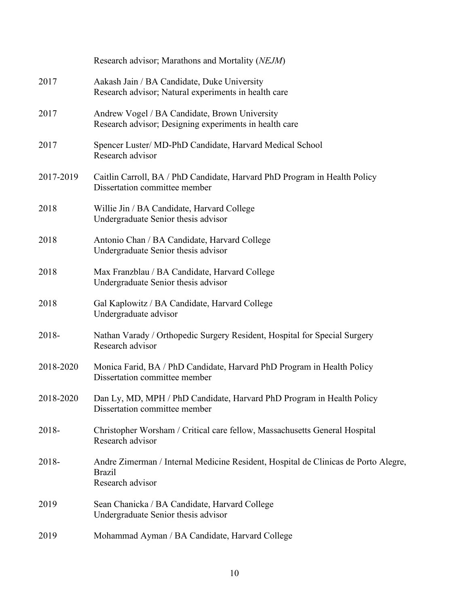|           | Research advisor; Marathons and Mortality (NEJM)                                                                        |
|-----------|-------------------------------------------------------------------------------------------------------------------------|
| 2017      | Aakash Jain / BA Candidate, Duke University<br>Research advisor; Natural experiments in health care                     |
| 2017      | Andrew Vogel / BA Candidate, Brown University<br>Research advisor; Designing experiments in health care                 |
| 2017      | Spencer Luster/ MD-PhD Candidate, Harvard Medical School<br>Research advisor                                            |
| 2017-2019 | Caitlin Carroll, BA / PhD Candidate, Harvard PhD Program in Health Policy<br>Dissertation committee member              |
| 2018      | Willie Jin / BA Candidate, Harvard College<br>Undergraduate Senior thesis advisor                                       |
| 2018      | Antonio Chan / BA Candidate, Harvard College<br>Undergraduate Senior thesis advisor                                     |
| 2018      | Max Franzblau / BA Candidate, Harvard College<br>Undergraduate Senior thesis advisor                                    |
| 2018      | Gal Kaplowitz / BA Candidate, Harvard College<br>Undergraduate advisor                                                  |
| 2018-     | Nathan Varady / Orthopedic Surgery Resident, Hospital for Special Surgery<br>Research advisor                           |
| 2018-2020 | Monica Farid, BA / PhD Candidate, Harvard PhD Program in Health Policy<br>Dissertation committee member                 |
| 2018-2020 | Dan Ly, MD, MPH / PhD Candidate, Harvard PhD Program in Health Policy<br>Dissertation committee member                  |
| 2018-     | Christopher Worsham / Critical care fellow, Massachusetts General Hospital<br>Research advisor                          |
| 2018-     | Andre Zimerman / Internal Medicine Resident, Hospital de Clinicas de Porto Alegre,<br><b>Brazil</b><br>Research advisor |
| 2019      | Sean Chanicka / BA Candidate, Harvard College<br>Undergraduate Senior thesis advisor                                    |
| 2019      | Mohammad Ayman / BA Candidate, Harvard College                                                                          |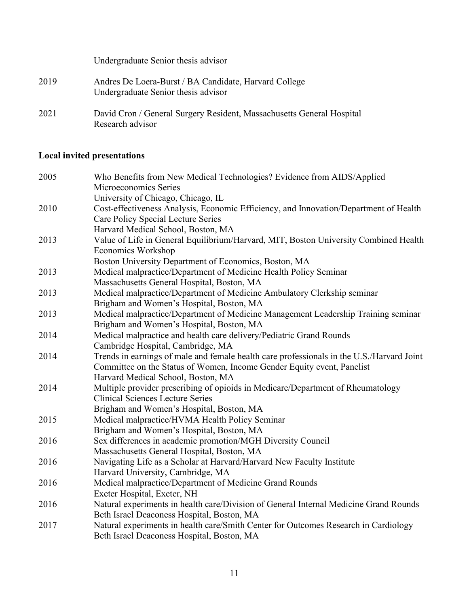|      | Undergraduate Senior thesis advisor                                                          |
|------|----------------------------------------------------------------------------------------------|
| 2019 | Andres De Loera-Burst / BA Candidate, Harvard College<br>Undergraduate Senior thesis advisor |
| 2021 | David Cron / General Surgery Resident, Massachusetts General Hospital<br>Research advisor    |

# **Local invited presentations**

| 2005 | Who Benefits from New Medical Technologies? Evidence from AIDS/Applied                    |
|------|-------------------------------------------------------------------------------------------|
|      | Microeconomics Series                                                                     |
|      | University of Chicago, Chicago, IL                                                        |
| 2010 | Cost-effectiveness Analysis, Economic Efficiency, and Innovation/Department of Health     |
|      | Care Policy Special Lecture Series                                                        |
|      | Harvard Medical School, Boston, MA                                                        |
| 2013 | Value of Life in General Equilibrium/Harvard, MIT, Boston University Combined Health      |
|      | Economics Workshop                                                                        |
|      | Boston University Department of Economics, Boston, MA                                     |
| 2013 | Medical malpractice/Department of Medicine Health Policy Seminar                          |
|      | Massachusetts General Hospital, Boston, MA                                                |
| 2013 | Medical malpractice/Department of Medicine Ambulatory Clerkship seminar                   |
|      | Brigham and Women's Hospital, Boston, MA                                                  |
| 2013 | Medical malpractice/Department of Medicine Management Leadership Training seminar         |
|      | Brigham and Women's Hospital, Boston, MA                                                  |
| 2014 | Medical malpractice and health care delivery/Pediatric Grand Rounds                       |
|      | Cambridge Hospital, Cambridge, MA                                                         |
| 2014 | Trends in earnings of male and female health care professionals in the U.S./Harvard Joint |
|      | Committee on the Status of Women, Income Gender Equity event, Panelist                    |
|      | Harvard Medical School, Boston, MA                                                        |
| 2014 | Multiple provider prescribing of opioids in Medicare/Department of Rheumatology           |
|      | <b>Clinical Sciences Lecture Series</b>                                                   |
|      | Brigham and Women's Hospital, Boston, MA                                                  |
| 2015 | Medical malpractice/HVMA Health Policy Seminar                                            |
|      | Brigham and Women's Hospital, Boston, MA                                                  |
| 2016 | Sex differences in academic promotion/MGH Diversity Council                               |
|      | Massachusetts General Hospital, Boston, MA                                                |
| 2016 | Navigating Life as a Scholar at Harvard/Harvard New Faculty Institute                     |
|      | Harvard University, Cambridge, MA                                                         |
| 2016 | Medical malpractice/Department of Medicine Grand Rounds                                   |
|      | Exeter Hospital, Exeter, NH                                                               |
| 2016 | Natural experiments in health care/Division of General Internal Medicine Grand Rounds     |
|      | Beth Israel Deaconess Hospital, Boston, MA                                                |
| 2017 | Natural experiments in health care/Smith Center for Outcomes Research in Cardiology       |
|      | Beth Israel Deaconess Hospital, Boston, MA                                                |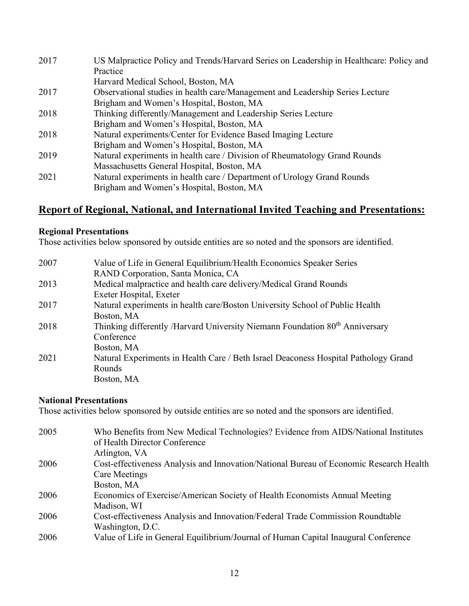| 2017 | US Malpractice Policy and Trends/Harvard Series on Leadership in Healthcare: Policy and |
|------|-----------------------------------------------------------------------------------------|
|      | Practice                                                                                |
|      | Harvard Medical School, Boston, MA                                                      |
| 2017 | Observational studies in health care/Management and Leadership Series Lecture           |
|      | Brigham and Women's Hospital, Boston, MA                                                |
| 2018 | Thinking differently/Management and Leadership Series Lecture                           |
|      | Brigham and Women's Hospital, Boston, MA                                                |
| 2018 | Natural experiments/Center for Evidence Based Imaging Lecture                           |
|      | Brigham and Women's Hospital, Boston, MA                                                |
| 2019 | Natural experiments in health care / Division of Rheumatology Grand Rounds              |
|      | Massachusetts General Hospital, Boston, MA                                              |
| 2021 | Natural experiments in health care / Department of Urology Grand Rounds                 |
|      | Brigham and Women's Hospital, Boston, MA                                                |

# **Report of Regional, National, and International Invited Teaching and Presentations:**

### **Regional Presentations**

Those activities below sponsored by outside entities are so noted and the sponsors are identified.

| 2007 | Value of Life in General Equilibrium/Health Economics Speaker Series                     |
|------|------------------------------------------------------------------------------------------|
|      | RAND Corporation, Santa Monica, CA                                                       |
| 2013 | Medical malpractice and health care delivery/Medical Grand Rounds                        |
|      | Exeter Hospital, Exeter                                                                  |
| 2017 | Natural experiments in health care/Boston University School of Public Health             |
|      | Boston, MA                                                                               |
| 2018 | Thinking differently /Harvard University Niemann Foundation 80 <sup>th</sup> Anniversary |
|      | Conference                                                                               |
|      | Boston, MA                                                                               |
| 2021 | Natural Experiments in Health Care / Beth Israel Deaconess Hospital Pathology Grand      |
|      | Rounds                                                                                   |
|      | Boston, MA                                                                               |

### **National Presentations**

Those activities below sponsored by outside entities are so noted and the sponsors are identified.

| 2005 | Who Benefits from New Medical Technologies? Evidence from AIDS/National Institutes<br>of Health Director Conference |
|------|---------------------------------------------------------------------------------------------------------------------|
|      | Arlington, VA                                                                                                       |
| 2006 | Cost-effectiveness Analysis and Innovation/National Bureau of Economic Research Health                              |
|      | Care Meetings                                                                                                       |
|      | Boston, MA                                                                                                          |
| 2006 | Economics of Exercise/American Society of Health Economists Annual Meeting                                          |
|      | Madison, WI                                                                                                         |
| 2006 | Cost-effectiveness Analysis and Innovation/Federal Trade Commission Roundtable                                      |
|      | Washington, D.C.                                                                                                    |
| 2006 | Value of Life in General Equilibrium/Journal of Human Capital Inaugural Conference                                  |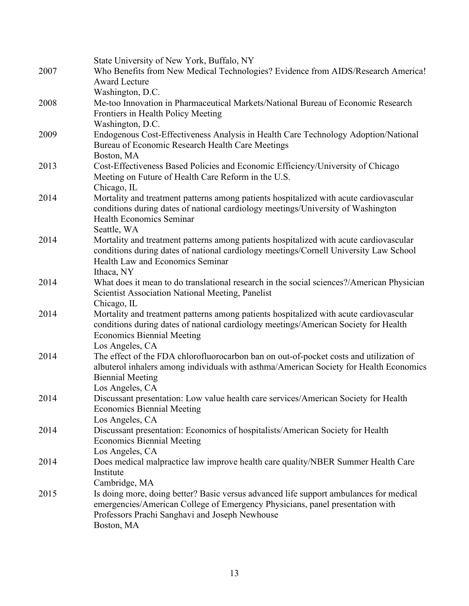| 2007 | State University of New York, Buffalo, NY<br>Who Benefits from New Medical Technologies? Evidence from AIDS/Research America!<br><b>Award Lecture</b><br>Washington, D.C.                                                                   |
|------|---------------------------------------------------------------------------------------------------------------------------------------------------------------------------------------------------------------------------------------------|
| 2008 | Me-too Innovation in Pharmaceutical Markets/National Bureau of Economic Research<br>Frontiers in Health Policy Meeting                                                                                                                      |
| 2009 | Washington, D.C.<br>Endogenous Cost-Effectiveness Analysis in Health Care Technology Adoption/National<br>Bureau of Economic Research Health Care Meetings                                                                                  |
| 2013 | Boston, MA<br>Cost-Effectiveness Based Policies and Economic Efficiency/University of Chicago<br>Meeting on Future of Health Care Reform in the U.S.                                                                                        |
| 2014 | Chicago, IL<br>Mortality and treatment patterns among patients hospitalized with acute cardiovascular<br>conditions during dates of national cardiology meetings/University of Washington<br><b>Health Economics Seminar</b><br>Seattle, WA |
| 2014 | Mortality and treatment patterns among patients hospitalized with acute cardiovascular<br>conditions during dates of national cardiology meetings/Cornell University Law School<br>Health Law and Economics Seminar<br>Ithaca, NY           |
| 2014 | What does it mean to do translational research in the social sciences?/American Physician<br><b>Scientist Association National Meeting, Panelist</b><br>Chicago, IL                                                                         |
| 2014 | Mortality and treatment patterns among patients hospitalized with acute cardiovascular<br>conditions during dates of national cardiology meetings/American Society for Health<br><b>Economics Biennial Meeting</b><br>Los Angeles, CA       |
| 2014 | The effect of the FDA chlorofluorocarbon ban on out-of-pocket costs and utilization of<br>albuterol inhalers among individuals with asthma/American Society for Health Economics<br><b>Biennial Meeting</b><br>Los Angeles, CA              |
| 2014 | Discussant presentation: Low value health care services/American Society for Health<br><b>Economics Biennial Meeting</b><br>Los Angeles, CA                                                                                                 |
| 2014 | Discussant presentation: Economics of hospitalists/American Society for Health<br><b>Economics Biennial Meeting</b><br>Los Angeles, CA                                                                                                      |
| 2014 | Does medical malpractice law improve health care quality/NBER Summer Health Care<br>Institute<br>Cambridge, MA                                                                                                                              |
| 2015 | Is doing more, doing better? Basic versus advanced life support ambulances for medical<br>emergencies/American College of Emergency Physicians, panel presentation with<br>Professors Prachi Sanghavi and Joseph Newhouse<br>Boston, MA     |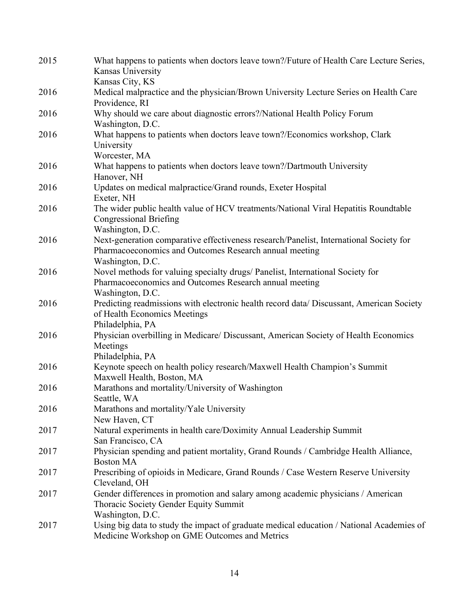| 2015 | What happens to patients when doctors leave town?/Future of Health Care Lecture Series,<br>Kansas University<br>Kansas City, KS                                      |
|------|----------------------------------------------------------------------------------------------------------------------------------------------------------------------|
| 2016 | Medical malpractice and the physician/Brown University Lecture Series on Health Care<br>Providence, RI                                                               |
| 2016 | Why should we care about diagnostic errors?/National Health Policy Forum<br>Washington, D.C.                                                                         |
| 2016 | What happens to patients when doctors leave town?/Economics workshop, Clark<br>University<br>Worcester, MA                                                           |
| 2016 | What happens to patients when doctors leave town?/Dartmouth University<br>Hanover, NH                                                                                |
| 2016 | Updates on medical malpractice/Grand rounds, Exeter Hospital<br>Exeter, NH                                                                                           |
| 2016 | The wider public health value of HCV treatments/National Viral Hepatitis Roundtable<br><b>Congressional Briefing</b><br>Washington, D.C.                             |
| 2016 | Next-generation comparative effectiveness research/Panelist, International Society for<br>Pharmacoeconomics and Outcomes Research annual meeting<br>Washington, D.C. |
| 2016 | Novel methods for valuing specialty drugs/ Panelist, International Society for<br>Pharmacoeconomics and Outcomes Research annual meeting<br>Washington, D.C.         |
| 2016 | Predicting readmissions with electronic health record data/ Discussant, American Society<br>of Health Economics Meetings<br>Philadelphia, PA                         |
| 2016 | Physician overbilling in Medicare/ Discussant, American Society of Health Economics<br>Meetings<br>Philadelphia, PA                                                  |
| 2016 | Keynote speech on health policy research/Maxwell Health Champion's Summit<br>Maxwell Health, Boston, MA                                                              |
| 2016 | Marathons and mortality/University of Washington<br>Seattle, WA                                                                                                      |
| 2016 | Marathons and mortality/Yale University<br>New Haven, CT                                                                                                             |
| 2017 | Natural experiments in health care/Doximity Annual Leadership Summit<br>San Francisco, CA                                                                            |
| 2017 | Physician spending and patient mortality, Grand Rounds / Cambridge Health Alliance,<br><b>Boston MA</b>                                                              |
| 2017 | Prescribing of opioids in Medicare, Grand Rounds / Case Western Reserve University<br>Cleveland, OH                                                                  |
| 2017 | Gender differences in promotion and salary among academic physicians / American<br>Thoracic Society Gender Equity Summit<br>Washington, D.C.                         |
| 2017 | Using big data to study the impact of graduate medical education / National Academies of<br>Medicine Workshop on GME Outcomes and Metrics                            |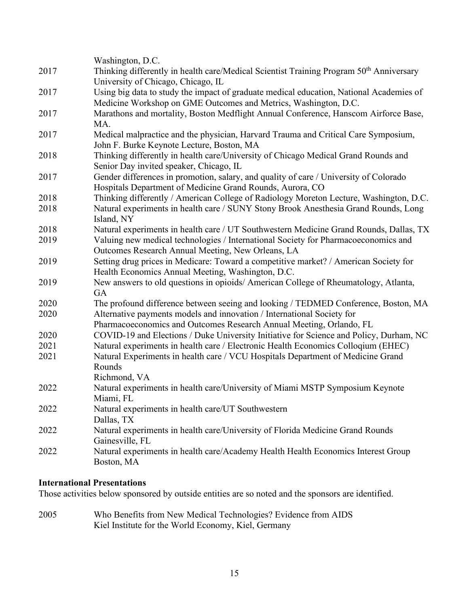|      | Washington, D.C.                                                                                    |
|------|-----------------------------------------------------------------------------------------------------|
| 2017 | Thinking differently in health care/Medical Scientist Training Program 50 <sup>th</sup> Anniversary |
|      | University of Chicago, Chicago, IL                                                                  |
| 2017 | Using big data to study the impact of graduate medical education, National Academies of             |
|      | Medicine Workshop on GME Outcomes and Metrics, Washington, D.C.                                     |
| 2017 | Marathons and mortality, Boston Medflight Annual Conference, Hanscom Airforce Base,                 |
|      | MA.                                                                                                 |
| 2017 | Medical malpractice and the physician, Harvard Trauma and Critical Care Symposium,                  |
|      | John F. Burke Keynote Lecture, Boston, MA                                                           |
| 2018 | Thinking differently in health care/University of Chicago Medical Grand Rounds and                  |
|      | Senior Day invited speaker, Chicago, IL                                                             |
| 2017 | Gender differences in promotion, salary, and quality of care / University of Colorado               |
|      | Hospitals Department of Medicine Grand Rounds, Aurora, CO                                           |
| 2018 | Thinking differently / American College of Radiology Moreton Lecture, Washington, D.C.              |
| 2018 | Natural experiments in health care / SUNY Stony Brook Anesthesia Grand Rounds, Long                 |
|      | Island, NY                                                                                          |
| 2018 | Natural experiments in health care / UT Southwestern Medicine Grand Rounds, Dallas, TX              |
| 2019 | Valuing new medical technologies / International Society for Pharmacoeconomics and                  |
|      | Outcomes Research Annual Meeting, New Orleans, LA                                                   |
| 2019 | Setting drug prices in Medicare: Toward a competitive market? / American Society for                |
|      | Health Economics Annual Meeting, Washington, D.C.                                                   |
| 2019 | New answers to old questions in opioids/ American College of Rheumatology, Atlanta,                 |
|      | GA                                                                                                  |
| 2020 | The profound difference between seeing and looking / TEDMED Conference, Boston, MA                  |
| 2020 | Alternative payments models and innovation / International Society for                              |
|      | Pharmacoeconomics and Outcomes Research Annual Meeting, Orlando, FL                                 |
| 2020 | COVID-19 and Elections / Duke University Initiative for Science and Policy, Durham, NC              |
| 2021 | Natural experiments in health care / Electronic Health Economics Colloqium (EHEC)                   |
| 2021 | Natural Experiments in health care / VCU Hospitals Department of Medicine Grand                     |
|      | Rounds                                                                                              |
|      | Richmond, VA                                                                                        |
| 2022 | Natural experiments in health care/University of Miami MSTP Symposium Keynote                       |
|      | Miami, FL                                                                                           |
| 2022 | Natural experiments in health care/UT Southwestern                                                  |
|      | Dallas, TX                                                                                          |
| 2022 | Natural experiments in health care/University of Florida Medicine Grand Rounds                      |
|      | Gainesville, FL                                                                                     |
| 2022 | Natural experiments in health care/Academy Health Health Economics Interest Group                   |
|      | Boston, MA                                                                                          |
|      |                                                                                                     |

### **International Presentations**

Those activities below sponsored by outside entities are so noted and the sponsors are identified.

2005 Who Benefits from New Medical Technologies? Evidence from AIDS Kiel Institute for the World Economy, Kiel, Germany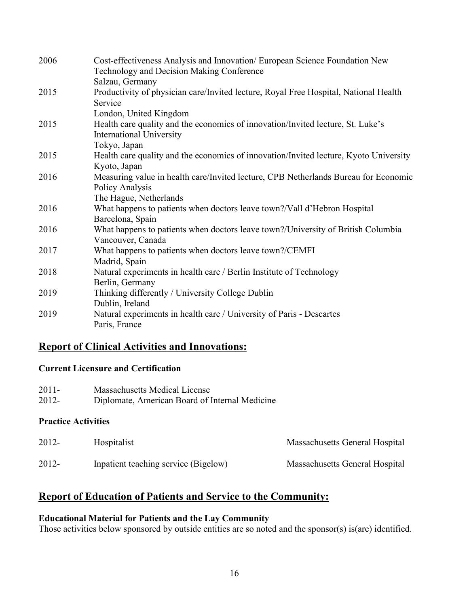| 2006 | Cost-effectiveness Analysis and Innovation/ European Science Foundation New<br>Technology and Decision Making Conference |
|------|--------------------------------------------------------------------------------------------------------------------------|
|      | Salzau, Germany                                                                                                          |
| 2015 | Productivity of physician care/Invited lecture, Royal Free Hospital, National Health                                     |
|      | Service                                                                                                                  |
|      | London, United Kingdom                                                                                                   |
| 2015 | Health care quality and the economics of innovation/Invited lecture, St. Luke's                                          |
|      | <b>International University</b>                                                                                          |
|      | Tokyo, Japan                                                                                                             |
| 2015 | Health care quality and the economics of innovation/Invited lecture, Kyoto University                                    |
|      | Kyoto, Japan                                                                                                             |
| 2016 | Measuring value in health care/Invited lecture, CPB Netherlands Bureau for Economic                                      |
|      | Policy Analysis                                                                                                          |
|      | The Hague, Netherlands                                                                                                   |
| 2016 | What happens to patients when doctors leave town?/Vall d'Hebron Hospital                                                 |
|      | Barcelona, Spain                                                                                                         |
| 2016 | What happens to patients when doctors leave town?/University of British Columbia                                         |
|      | Vancouver, Canada                                                                                                        |
| 2017 | What happens to patients when doctors leave town?/CEMFI                                                                  |
|      | Madrid, Spain                                                                                                            |
| 2018 | Natural experiments in health care / Berlin Institute of Technology                                                      |
|      | Berlin, Germany                                                                                                          |
| 2019 | Thinking differently / University College Dublin                                                                         |
|      | Dublin, Ireland                                                                                                          |
| 2019 | Natural experiments in health care / University of Paris - Descartes                                                     |
|      | Paris, France                                                                                                            |

# **Report of Clinical Activities and Innovations:**

### **Current Licensure and Certification**

| 2011- | Massachusetts Medical License                  |
|-------|------------------------------------------------|
| 2012- | Diplomate, American Board of Internal Medicine |

### **Practice Activities**

| 2012- | Hospitalist                          | Massachusetts General Hospital |
|-------|--------------------------------------|--------------------------------|
| 2012- | Inpatient teaching service (Bigelow) | Massachusetts General Hospital |

# **Report of Education of Patients and Service to the Community:**

### **Educational Material for Patients and the Lay Community**

Those activities below sponsored by outside entities are so noted and the sponsor(s) is(are) identified.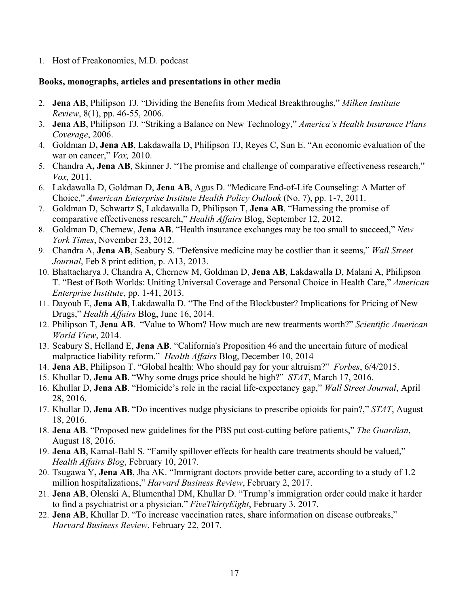1. Host of Freakonomics, M.D. podcast

### **Books, monographs, articles and presentations in other media**

- 2. **Jena AB**, Philipson TJ. "Dividing the Benefits from Medical Breakthroughs," *Milken Institute Review*, 8(1), pp. 46-55, 2006.
- 3. **Jena AB**, Philipson TJ. "Striking a Balance on New Technology," *America's Health Insurance Plans Coverage*, 2006.
- 4. Goldman D**, Jena AB**, Lakdawalla D, Philipson TJ, Reyes C, Sun E. "An economic evaluation of the war on cancer," *Vox,* 2010.
- 5. Chandra A**, Jena AB**, Skinner J. "The promise and challenge of comparative effectiveness research," *Vox,* 2011.
- 6. Lakdawalla D, Goldman D, **Jena AB**, Agus D. "Medicare End-of-Life Counseling: A Matter of Choice," *American Enterprise Institute Health Policy Outlook* (No. 7), pp. 1-7, 2011.
- 7. Goldman D, Schwartz S, Lakdawalla D, Philipson T, **Jena AB**. "Harnessing the promise of comparative effectiveness research," *Health Affairs* Blog, September 12, 2012.
- 8. Goldman D, Chernew, **Jena AB**. "Health insurance exchanges may be too small to succeed," *New York Times*, November 23, 2012.
- 9. Chandra A, **Jena AB**, Seabury S. "Defensive medicine may be costlier than it seems," *Wall Street Journal*, Feb 8 print edition, p. A13, 2013.
- 10. Bhattacharya J, Chandra A, Chernew M, Goldman D, **Jena AB**, Lakdawalla D, Malani A, Philipson T. "Best of Both Worlds: Uniting Universal Coverage and Personal Choice in Health Care," *American Enterprise Institute*, pp. 1-41, 2013.
- 11. Dayoub E, **Jena AB**, Lakdawalla D. "The End of the Blockbuster? Implications for Pricing of New Drugs," *Health Affairs* Blog, June 16, 2014.
- 12. Philipson T, **Jena AB**. "Value to Whom? How much are new treatments worth?" *Scientific American World View*, 2014.
- 13. Seabury S, Helland E, **Jena AB**. "California's Proposition 46 and the uncertain future of medical malpractice liability reform." *Health Affairs* Blog, December 10, 2014
- 14. **Jena AB**, Philipson T. "Global health: Who should pay for your altruism?" *Forbes*, 6/4/2015.
- 15. Khullar D, **Jena AB**. "Why some drugs price should be high?" *STAT*, March 17, 2016.
- 16. Khullar D, **Jena AB**. "Homicide's role in the racial life-expectancy gap," *Wall Street Journal*, April 28, 2016.
- 17. Khullar D, **Jena AB**. "Do incentives nudge physicians to prescribe opioids for pain?," *STAT*, August 18, 2016.
- 18. **Jena AB**. "Proposed new guidelines for the PBS put cost-cutting before patients," *The Guardian*, August 18, 2016.
- 19. **Jena AB**, Kamal-Bahl S. "Family spillover effects for health care treatments should be valued," *Health Affairs Blog*, February 10, 2017.
- 20. Tsugawa Y**, Jena AB**, Jha AK. "Immigrant doctors provide better care, according to a study of 1.2 million hospitalizations," *Harvard Business Review*, February 2, 2017.
- 21. **Jena AB**, Olenski A, Blumenthal DM, Khullar D. "Trump's immigration order could make it harder to find a psychiatrist or a physician." *FiveThirtyEight*, February 3, 2017.
- 22. **Jena AB**, Khullar D. "To increase vaccination rates, share information on disease outbreaks," *Harvard Business Review*, February 22, 2017.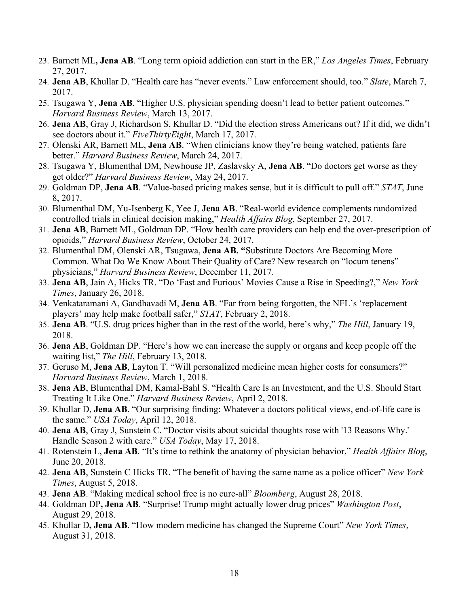- 23. Barnett ML**, Jena AB**. "Long term opioid addiction can start in the ER," *Los Angeles Times*, February 27, 2017.
- 24. **Jena AB**, Khullar D. "Health care has "never events." Law enforcement should, too." *Slate*, March 7, 2017.
- 25. Tsugawa Y, **Jena AB**. "Higher U.S. physician spending doesn't lead to better patient outcomes." *Harvard Business Review*, March 13, 2017.
- 26. **Jena AB**, Gray J, Richardson S, Khullar D. "Did the election stress Americans out? If it did, we didn't see doctors about it." *FiveThirtyEight*, March 17, 2017.
- 27. Olenski AR, Barnett ML, **Jena AB**. "When clinicians know they're being watched, patients fare better." *Harvard Business Review*, March 24, 2017.
- 28. Tsugawa Y, Blumenthal DM, Newhouse JP, Zaslavsky A, **Jena AB**. "Do doctors get worse as they get older?" *Harvard Business Review*, May 24, 2017.
- 29. Goldman DP, **Jena AB**. "Value-based pricing makes sense, but it is difficult to pull off." *STAT*, June 8, 2017.
- 30. Blumenthal DM, Yu-Isenberg K, Yee J, **Jena AB**. "Real-world evidence complements randomized controlled trials in clinical decision making," *Health Affairs Blog*, September 27, 2017.
- 31. **Jena AB**, Barnett ML, Goldman DP. "How health care providers can help end the over-prescription of opioids," *Harvard Business Review*, October 24, 2017.
- 32. Blumenthal DM, Olenski AR, Tsugawa, **Jena AB. "**Substitute Doctors Are Becoming More Common. What Do We Know About Their Quality of Care? New research on "locum tenens" physicians," *Harvard Business Review*, December 11, 2017.
- 33. **Jena AB**, Jain A, Hicks TR. "Do 'Fast and Furious' Movies Cause a Rise in Speeding?," *New York Times*, January 26, 2018.
- 34. Venkataramani A, Gandhavadi M, **Jena AB**. "Far from being forgotten, the NFL's 'replacement players' may help make football safer," *STAT*, February 2, 2018.
- 35. **Jena AB**. "U.S. drug prices higher than in the rest of the world, here's why," *The Hill*, January 19, 2018.
- 36. **Jena AB**, Goldman DP. "Here's how we can increase the supply or organs and keep people off the waiting list," *The Hill*, February 13, 2018.
- 37. Geruso M, **Jena AB**, Layton T. "Will personalized medicine mean higher costs for consumers?" *Harvard Business Review*, March 1, 2018.
- 38. **Jena AB**, Blumenthal DM, Kamal-Bahl S. "Health Care Is an Investment, and the U.S. Should Start Treating It Like One." *Harvard Business Review*, April 2, 2018.
- 39. Khullar D, **Jena AB**. "Our surprising finding: Whatever a doctors political views, end-of-life care is the same." *USA Today*, April 12, 2018.
- 40. **Jena AB**, Gray J, Sunstein C. "Doctor visits about suicidal thoughts rose with '13 Reasons Why.' Handle Season 2 with care." *USA Today*, May 17, 2018.
- 41. Rotenstein L, **Jena AB**. "It's time to rethink the anatomy of physician behavior," *Health Affairs Blog*, June 20, 2018.
- 42. **Jena AB**, Sunstein C Hicks TR. "The benefit of having the same name as a police officer" *New York Times*, August 5, 2018.
- 43. **Jena AB**. "Making medical school free is no cure-all" *Bloomberg*, August 28, 2018.
- 44. Goldman DP**, Jena AB**. "Surprise! Trump might actually lower drug prices" *Washington Post*, August 29, 2018.
- 45. Khullar D**, Jena AB**. "How modern medicine has changed the Supreme Court" *New York Times*, August 31, 2018.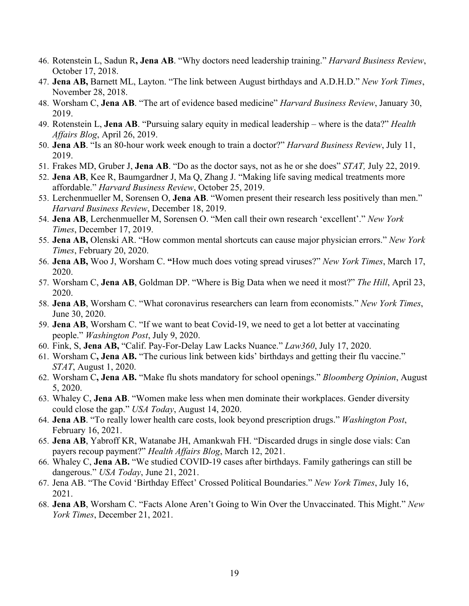- 46. Rotenstein L, Sadun R**, Jena AB**. "Why doctors need leadership training." *Harvard Business Review*, October 17, 2018.
- 47. **Jena AB,** Barnett ML, Layton. "The link between August birthdays and A.D.H.D." *New York Times*, November 28, 2018.
- 48. Worsham C, **Jena AB**. "The art of evidence based medicine" *Harvard Business Review*, January 30, 2019.
- 49. Rotenstein L, **Jena AB**. "Pursuing salary equity in medical leadership where is the data?" *Health Affairs Blog*, April 26, 2019.
- 50. **Jena AB**. "Is an 80-hour work week enough to train a doctor?" *Harvard Business Review*, July 11, 2019.
- 51. Frakes MD, Gruber J, **Jena AB**. "Do as the doctor says, not as he or she does" *STAT,* July 22, 2019.
- 52. **Jena AB**, Kee R, Baumgardner J, Ma Q, Zhang J. "Making life saving medical treatments more affordable." *Harvard Business Review*, October 25, 2019.
- 53. Lerchenmueller M, Sorensen O, **Jena AB**. "Women present their research less positively than men." *Harvard Business Review*, December 18, 2019.
- 54. **Jena AB**, Lerchenmueller M, Sorensen O. "Men call their own research 'excellent'." *New York Times*, December 17, 2019.
- 55. **Jena AB,** Olenski AR. "How common mental shortcuts can cause major physician errors." *New York Times*, February 20, 2020.
- 56. **Jena AB,** Woo J, Worsham C. **"**How much does voting spread viruses?" *New York Times*, March 17, 2020.
- 57. Worsham C, **Jena AB**, Goldman DP. "Where is Big Data when we need it most?" *The Hill*, April 23, 2020.
- 58. **Jena AB**, Worsham C. "What coronavirus researchers can learn from economists." *New York Times*, June 30, 2020.
- 59. **Jena AB**, Worsham C. "If we want to beat Covid-19, we need to get a lot better at vaccinating people." *Washington Post*, July 9, 2020.
- 60. Fink, S, **Jena AB,** "Calif. Pay-For-Delay Law Lacks Nuance." *Law360*, July 17, 2020.
- 61. Worsham C**, Jena AB.** "The curious link between kids' birthdays and getting their flu vaccine." *STAT*, August 1, 2020.
- 62. Worsham C**, Jena AB.** "Make flu shots mandatory for school openings." *Bloomberg Opinion*, August 5, 2020.
- 63. Whaley C, **Jena AB**. "Women make less when men dominate their workplaces. Gender diversity could close the gap." *USA Today*, August 14, 2020.
- 64. **Jena AB**. "To really lower health care costs, look beyond prescription drugs." *Washington Post*, February 16, 2021.
- 65. **Jena AB**, Yabroff KR, Watanabe JH, Amankwah FH. "Discarded drugs in single dose vials: Can payers recoup payment?" *Health Affairs Blog*, March 12, 2021.
- 66. Whaley C, **Jena AB.** "We studied COVID-19 cases after birthdays. Family gatherings can still be dangerous." *USA Today*, June 21, 2021.
- 67. Jena AB. "The Covid 'Birthday Effect' Crossed Political Boundaries." *New York Times*, July 16, 2021.
- 68. **Jena AB**, Worsham C. "Facts Alone Aren't Going to Win Over the Unvaccinated. This Might." *New York Times*, December 21, 2021.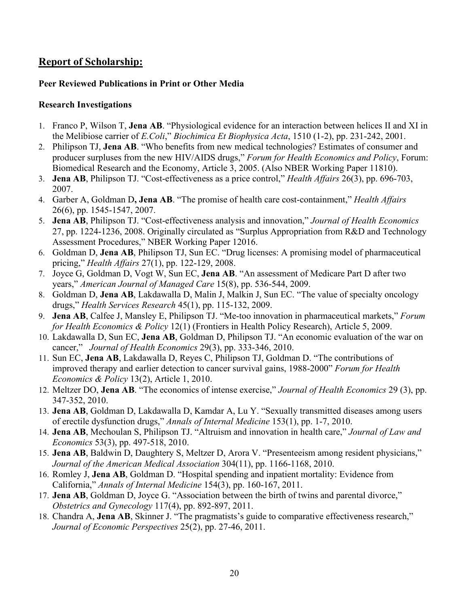# **Report of Scholarship:**

### **Peer Reviewed Publications in Print or Other Media**

### **Research Investigations**

- 1. Franco P, Wilson T, **Jena AB**. "Physiological evidence for an interaction between helices II and XI in the Melibiose carrier of *E.Coli*," *Biochimica Et Biophysica Acta*, 1510 (1-2), pp. 231-242, 2001.
- 2. Philipson TJ, **Jena AB**. "Who benefits from new medical technologies? Estimates of consumer and producer surpluses from the new HIV/AIDS drugs," *Forum for Health Economics and Policy*, Forum: Biomedical Research and the Economy, Article 3, 2005. (Also NBER Working Paper 11810).
- 3. **Jena AB**, Philipson TJ. "Cost-effectiveness as a price control," *Health Affairs* 26(3), pp. 696-703, 2007.
- 4. Garber A, Goldman D**, Jena AB**. "The promise of health care cost-containment," *Health Affairs* 26(6), pp. 1545-1547, 2007.
- 5. **Jena AB**, Philipson TJ. "Cost-effectiveness analysis and innovation," *Journal of Health Economics* 27, pp. 1224-1236, 2008. Originally circulated as "Surplus Appropriation from R&D and Technology Assessment Procedures," NBER Working Paper 12016.
- 6. Goldman D, **Jena AB**, Philipson TJ, Sun EC. "Drug licenses: A promising model of pharmaceutical pricing," *Health Affairs* 27(1), pp. 122-129, 2008.
- 7. Joyce G, Goldman D, Vogt W, Sun EC, **Jena AB**. "An assessment of Medicare Part D after two years," *American Journal of Managed Care* 15(8), pp. 536-544, 2009.
- 8. Goldman D, **Jena AB**, Lakdawalla D, Malin J, Malkin J, Sun EC. "The value of specialty oncology drugs," *Health Services Research* 45(1), pp. 115-132, 2009.
- 9. **Jena AB**, Calfee J, Mansley E, Philipson TJ. "Me-too innovation in pharmaceutical markets," *Forum for Health Economics & Policy* 12(1) (Frontiers in Health Policy Research), Article 5, 2009.
- 10. Lakdawalla D, Sun EC, **Jena AB**, Goldman D, Philipson TJ. "An economic evaluation of the war on cancer," *Journal of Health Economics* 29(3), pp. 333-346, 2010.
- 11. Sun EC, **Jena AB**, Lakdawalla D, Reyes C, Philipson TJ, Goldman D. "The contributions of improved therapy and earlier detection to cancer survival gains, 1988-2000" *Forum for Health Economics & Policy* 13(2), Article 1, 2010.
- 12. Meltzer DO, **Jena AB**. "The economics of intense exercise," *Journal of Health Economics* 29 (3), pp. 347-352, 2010.
- 13. **Jena AB**, Goldman D, Lakdawalla D, Kamdar A, Lu Y. "Sexually transmitted diseases among users of erectile dysfunction drugs," *Annals of Internal Medicine* 153(1), pp. 1-7, 2010.
- 14. **Jena AB**, Mechoulan S, Philipson TJ. "Altruism and innovation in health care," *Journal of Law and Economics* 53(3), pp. 497-518, 2010.
- 15. **Jena AB**, Baldwin D, Daughtery S, Meltzer D, Arora V. "Presenteeism among resident physicians," *Journal of the American Medical Association* 304(11), pp. 1166-1168, 2010.
- 16. Romley J, **Jena AB**, Goldman D. "Hospital spending and inpatient mortality: Evidence from California," *Annals of Internal Medicine* 154(3), pp. 160-167, 2011.
- 17. **Jena AB**, Goldman D, Joyce G. "Association between the birth of twins and parental divorce," *Obstetrics and Gynecology* 117(4), pp. 892-897, 2011.
- 18. Chandra A, **Jena AB**, Skinner J. "The pragmatists's guide to comparative effectiveness research," *Journal of Economic Perspectives* 25(2), pp. 27-46, 2011.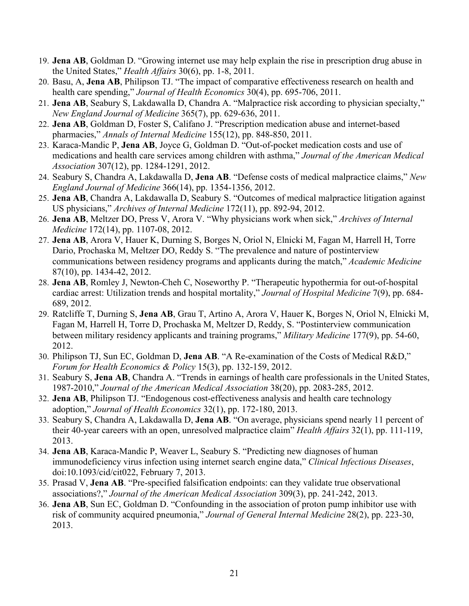- 19. **Jena AB**, Goldman D. "Growing internet use may help explain the rise in prescription drug abuse in the United States," *Health Affairs* 30(6), pp. 1-8, 2011.
- 20. Basu, A, **Jena AB**, Philipson TJ. "The impact of comparative effectiveness research on health and health care spending," *Journal of Health Economics* 30(4), pp. 695-706, 2011.
- 21. **Jena AB**, Seabury S, Lakdawalla D, Chandra A. "Malpractice risk according to physician specialty," *New England Journal of Medicine* 365(7), pp. 629-636, 2011.
- 22. **Jena AB**, Goldman D, Foster S, Califano J. "Prescription medication abuse and internet-based pharmacies," *Annals of Internal Medicine* 155(12), pp. 848-850, 2011.
- 23. Karaca-Mandic P, **Jena AB**, Joyce G, Goldman D. "Out-of-pocket medication costs and use of medications and health care services among children with asthma," *Journal of the American Medical Association* 307(12), pp. 1284-1291, 2012.
- 24. Seabury S, Chandra A, Lakdawalla D, **Jena AB**. "Defense costs of medical malpractice claims," *New England Journal of Medicine* 366(14), pp. 1354-1356, 2012.
- 25. **Jena AB**, Chandra A, Lakdawalla D, Seabury S. "Outcomes of medical malpractice litigation against US physicians," *Archives of Internal Medicine* 172(11), pp. 892-94, 2012.
- 26. **Jena AB**, Meltzer DO, Press V, Arora V. "Why physicians work when sick," *Archives of Internal Medicine* 172(14), pp. 1107-08, 2012.
- 27. **Jena AB**, Arora V, Hauer K, Durning S, Borges N, Oriol N, Elnicki M, Fagan M, Harrell H, Torre Dario, Prochaska M, Meltzer DO, Reddy S. "The prevalence and nature of postinterview communications between residency programs and applicants during the match," *Academic Medicine* 87(10), pp. 1434-42, 2012.
- 28. **Jena AB**, Romley J, Newton-Cheh C, Noseworthy P. "Therapeutic hypothermia for out-of-hospital cardiac arrest: Utilization trends and hospital mortality," *Journal of Hospital Medicine* 7(9), pp. 684- 689, 2012.
- 29. Ratcliffe T, Durning S, **Jena AB**, Grau T, Artino A, Arora V, Hauer K, Borges N, Oriol N, Elnicki M, Fagan M, Harrell H, Torre D, Prochaska M, Meltzer D, Reddy, S. "Postinterview communication between military residency applicants and training programs," *Military Medicine* 177(9), pp. 54-60, 2012.
- 30. Philipson TJ, Sun EC, Goldman D, **Jena AB**. "A Re-examination of the Costs of Medical R&D," *Forum for Health Economics & Policy* 15(3), pp. 132-159, 2012.
- 31. Seabury S, **Jena AB**, Chandra A. "Trends in earnings of health care professionals in the United States, 1987-2010," *Journal of the American Medical Association* 38(20), pp. 2083-285, 2012.
- 32. **Jena AB**, Philipson TJ. "Endogenous cost-effectiveness analysis and health care technology adoption," *Journal of Health Economics* 32(1), pp. 172-180, 2013.
- 33. Seabury S, Chandra A, Lakdawalla D, **Jena AB**. "On average, physicians spend nearly 11 percent of their 40-year careers with an open, unresolved malpractice claim" *Health Affairs* 32(1), pp. 111-119, 2013.
- 34. **Jena AB**, Karaca-Mandic P, Weaver L, Seabury S. "Predicting new diagnoses of human immunodeficiency virus infection using internet search engine data," *Clinical Infectious Diseases*, doi:10.1093/cid/cit022, February 7, 2013.
- 35. Prasad V, **Jena AB**. "Pre-specified falsification endpoints: can they validate true observational associations?," *Journal of the American Medical Association* 309(3), pp. 241-242, 2013.
- 36. **Jena AB**, Sun EC, Goldman D. "Confounding in the association of proton pump inhibitor use with risk of community acquired pneumonia," *Journal of General Internal Medicine* 28(2), pp. 223-30, 2013.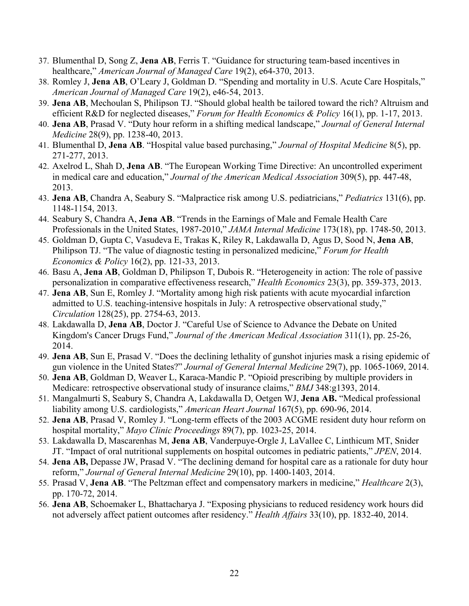- 37. Blumenthal D, Song Z, **Jena AB**, Ferris T. "Guidance for structuring team-based incentives in healthcare," *American Journal of Managed Care* 19(2), e64-370, 2013.
- 38. Romley J, **Jena AB**, O'Leary J, Goldman D. "Spending and mortality in U.S. Acute Care Hospitals," *American Journal of Managed Care* 19(2), e46-54, 2013.
- 39. **Jena AB**, Mechoulan S, Philipson TJ. "Should global health be tailored toward the rich? Altruism and efficient R&D for neglected diseases," *Forum for Health Economics & Policy* 16(1), pp. 1-17, 2013.
- 40. **Jena AB**, Prasad V. "Duty hour reform in a shifting medical landscape," *Journal of General Internal Medicine* 28(9), pp. 1238-40, 2013.
- 41. Blumenthal D, **Jena AB**. "Hospital value based purchasing," *Journal of Hospital Medicine* 8(5), pp. 271-277, 2013.
- 42. Axelrod L, Shah D, **Jena AB**. "The European Working Time Directive: An uncontrolled experiment in medical care and education," *Journal of the American Medical Association* 309(5), pp. 447-48, 2013.
- 43. **Jena AB**, Chandra A, Seabury S. "Malpractice risk among U.S. pediatricians," *Pediatrics* 131(6), pp. 1148-1154, 2013.
- 44. Seabury S, Chandra A, **Jena AB**. "Trends in the Earnings of Male and Female Health Care Professionals in the United States, 1987-2010," *JAMA Internal Medicine* 173(18), pp. 1748-50, 2013.
- 45. Goldman D, Gupta C, Vasudeva E, Trakas K, Riley R, Lakdawalla D, Agus D, Sood N, **Jena AB**, Philipson TJ. "The value of diagnostic testing in personalized medicine," *Forum for Health Economics & Policy* 16(2), pp. 121-33, 2013.
- 46. Basu A, **Jena AB**, Goldman D, Philipson T, Dubois R. "Heterogeneity in action: The role of passive personalization in comparative effectiveness research," *Health Economics* 23(3), pp. 359-373, 2013.
- 47. **Jena AB**, Sun E, Romley J. "Mortality among high risk patients with acute myocardial infarction admitted to U.S. teaching-intensive hospitals in July: A retrospective observational study," *Circulation* 128(25), pp. 2754-63, 2013.
- 48. Lakdawalla D, **Jena AB**, Doctor J. "Careful Use of Science to Advance the Debate on United Kingdom's Cancer Drugs Fund," *Journal of the American Medical Association* 311(1), pp. 25-26, 2014.
- 49. **Jena AB**, Sun E, Prasad V. "Does the declining lethality of gunshot injuries mask a rising epidemic of gun violence in the United States?" *Journal of General Internal Medicine* 29(7), pp. 1065-1069, 2014.
- 50. **Jena AB**, Goldman D, Weaver L, Karaca-Mandic P. "Opioid prescribing by multiple providers in Medicare: retrospective observational study of insurance claims," *BMJ* 348:g1393, 2014.
- 51. Mangalmurti S, Seabury S, Chandra A, Lakdawalla D, Oetgen WJ, **Jena AB.** "Medical professional liability among U.S. cardiologists," *American Heart Journal* 167(5), pp. 690-96, 2014.
- 52. **Jena AB**, Prasad V, Romley J. "Long-term effects of the 2003 ACGME resident duty hour reform on hospital mortality," *Mayo Clinic Proceedings* 89(7), pp. 1023-25, 2014.
- 53. Lakdawalla D, Mascarenhas M, **Jena AB**, Vanderpuye-Orgle J, LaVallee C, Linthicum MT, Snider JT. "Impact of oral nutritional supplements on hospital outcomes in pediatric patients," *JPEN*, 2014.
- 54. **Jena AB,** Depasse JW, Prasad V. "The declining demand for hospital care as a rationale for duty hour reform," *Journal of General Internal Medicine* 29(10), pp. 1400-1403, 2014.
- 55. Prasad V, **Jena AB**. "The Peltzman effect and compensatory markers in medicine," *Healthcare* 2(3), pp. 170-72, 2014.
- 56. **Jena AB**, Schoemaker L, Bhattacharya J. "Exposing physicians to reduced residency work hours did not adversely affect patient outcomes after residency." *Health Affairs* 33(10), pp. 1832-40, 2014.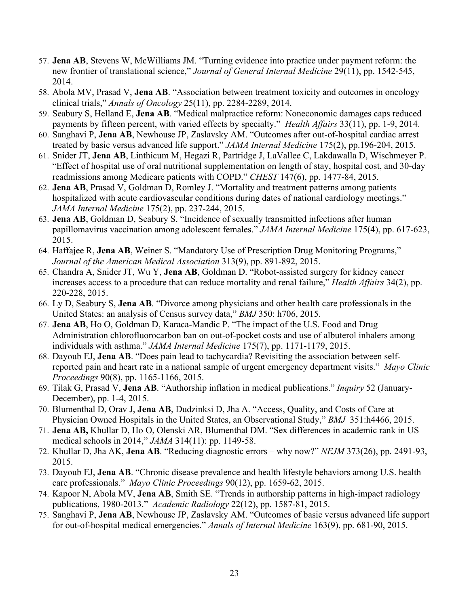- 57. **Jena AB**, Stevens W, McWilliams JM. "Turning evidence into practice under payment reform: the new frontier of translational science," *Journal of General Internal Medicine* 29(11), pp. 1542-545, 2014.
- 58. Abola MV, Prasad V, **Jena AB**. "Association between treatment toxicity and outcomes in oncology clinical trials," *Annals of Oncology* 25(11), pp. 2284-2289, 2014.
- 59. Seabury S, Helland E, **Jena AB**. "Medical malpractice reform: Noneconomic damages caps reduced payments by fifteen percent, with varied effects by specialty." *Health Affairs* 33(11), pp. 1-9, 2014.
- 60. Sanghavi P, **Jena AB**, Newhouse JP, Zaslavsky AM. "Outcomes after out-of-hospital cardiac arrest treated by basic versus advanced life support." *JAMA Internal Medicine* 175(2), pp.196-204, 2015.
- 61. Snider JT, **Jena AB**, Linthicum M, Hegazi R, Partridge J, LaVallee C, Lakdawalla D, Wischmeyer P. "Effect of hospital use of oral nutritional supplementation on length of stay, hospital cost, and 30-day readmissions among Medicare patients with COPD." *CHEST* 147(6), pp. 1477-84, 2015.
- 62. **Jena AB**, Prasad V, Goldman D, Romley J. "Mortality and treatment patterns among patients hospitalized with acute cardiovascular conditions during dates of national cardiology meetings." *JAMA Internal Medicine* 175(2), pp. 237-244, 2015.
- 63. **Jena AB**, Goldman D, Seabury S. "Incidence of sexually transmitted infections after human papillomavirus vaccination among adolescent females." *JAMA Internal Medicine* 175(4), pp. 617-623, 2015.
- 64. Haffajee R, **Jena AB**, Weiner S. "Mandatory Use of Prescription Drug Monitoring Programs," *Journal of the American Medical Association* 313(9), pp. 891-892, 2015.
- 65. Chandra A, Snider JT, Wu Y, **Jena AB**, Goldman D. "Robot-assisted surgery for kidney cancer increases access to a procedure that can reduce mortality and renal failure," *Health Affairs* 34(2), pp. 220-228, 2015.
- 66. Ly D, Seabury S, **Jena AB**. "Divorce among physicians and other health care professionals in the United States: an analysis of Census survey data," *BMJ* 350: h706, 2015.
- 67. **Jena AB**, Ho O, Goldman D, Karaca-Mandic P. "The impact of the U.S. Food and Drug Administration chlorofluorocarbon ban on out-of-pocket costs and use of albuterol inhalers among individuals with asthma." *JAMA Internal Medicine* 175(7), pp. 1171-1179, 2015.
- 68. Dayoub EJ, **Jena AB**. "Does pain lead to tachycardia? Revisiting the association between selfreported pain and heart rate in a national sample of urgent emergency department visits." *Mayo Clinic Proceedings* 90(8), pp. 1165-1166, 2015.
- 69. Tilak G, Prasad V, **Jena AB**. "Authorship inflation in medical publications." *Inquiry* 52 (January-December), pp. 1-4, 2015.
- 70. Blumenthal D, Orav J, **Jena AB**, Dudzinksi D, Jha A. "Access, Quality, and Costs of Care at Physician Owned Hospitals in the United States, an Observational Study," *BMJ* 351:h4466, 2015.
- 71. **Jena AB,** Khullar D, Ho O, Olenski AR, Blumenthal DM. "Sex differences in academic rank in US medical schools in 2014," *JAMA* 314(11): pp. 1149-58.
- 72. Khullar D, Jha AK, **Jena AB**. "Reducing diagnostic errors why now?" *NEJM* 373(26), pp. 2491-93, 2015.
- 73. Dayoub EJ, **Jena AB**. "Chronic disease prevalence and health lifestyle behaviors among U.S. health care professionals." *Mayo Clinic Proceedings* 90(12), pp. 1659-62, 2015.
- 74. Kapoor N, Abola MV, **Jena AB**, Smith SE. "Trends in authorship patterns in high-impact radiology publications, 1980-2013." *Academic Radiology* 22(12), pp. 1587-81, 2015.
- 75. Sanghavi P, **Jena AB**, Newhouse JP, Zaslavsky AM. "Outcomes of basic versus advanced life support for out-of-hospital medical emergencies." *Annals of Internal Medicine* 163(9), pp. 681-90, 2015.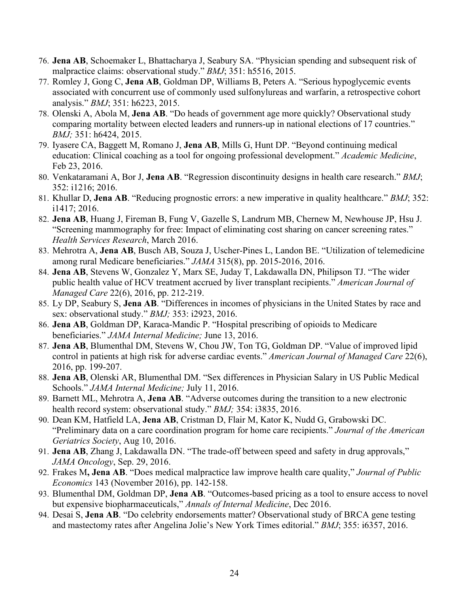- 76. **Jena AB**, Schoemaker L, Bhattacharya J, Seabury SA. "Physician spending and subsequent risk of malpractice claims: observational study." *BMJ*; 351: h5516, 2015.
- 77. Romley J, Gong C, **Jena AB**, Goldman DP, Williams B, Peters A. "Serious hypoglycemic events associated with concurrent use of commonly used sulfonylureas and warfarin, a retrospective cohort analysis." *BMJ*; 351: h6223, 2015.
- 78. Olenski A, Abola M, **Jena AB**. "Do heads of government age more quickly? Observational study comparing mortality between elected leaders and runners-up in national elections of 17 countries." *BMJ;* 351: h6424, 2015.
- 79. Iyasere CA, Baggett M, Romano J, **Jena AB**, Mills G, Hunt DP. "Beyond continuing medical education: Clinical coaching as a tool for ongoing professional development." *Academic Medicine*, Feb 23, 2016.
- 80. Venkataramani A, Bor J, **Jena AB**. "Regression discontinuity designs in health care research." *BMJ*; 352: i1216; 2016.
- 81. Khullar D, **Jena AB**. "Reducing prognostic errors: a new imperative in quality healthcare." *BMJ*; 352: i1417; 2016.
- 82. **Jena AB**, Huang J, Fireman B, Fung V, Gazelle S, Landrum MB, Chernew M, Newhouse JP, Hsu J. "Screening mammography for free: Impact of eliminating cost sharing on cancer screening rates." *Health Services Research*, March 2016.
- 83. Mehrotra A, **Jena AB**, Busch AB, Souza J, Uscher-Pines L, Landon BE. "Utilization of telemedicine among rural Medicare beneficiaries." *JAMA* 315(8), pp. 2015-2016, 2016.
- 84. **Jena AB**, Stevens W, Gonzalez Y, Marx SE, Juday T, Lakdawalla DN, Philipson TJ. "The wider public health value of HCV treatment accrued by liver transplant recipients." *American Journal of Managed Care* 22(6), 2016, pp. 212-219.
- 85. Ly DP, Seabury S, **Jena AB**. "Differences in incomes of physicians in the United States by race and sex: observational study." *BMJ;* 353: i2923, 2016.
- 86. **Jena AB**, Goldman DP, Karaca-Mandic P. "Hospital prescribing of opioids to Medicare beneficiaries." *JAMA Internal Medicine;* June 13, 2016.
- 87. **Jena AB**, Blumenthal DM, Stevens W, Chou JW, Ton TG, Goldman DP. "Value of improved lipid control in patients at high risk for adverse cardiac events." *American Journal of Managed Care* 22(6), 2016, pp. 199-207.
- 88. **Jena AB**, Olenski AR, Blumenthal DM. "Sex differences in Physician Salary in US Public Medical Schools." *JAMA Internal Medicine;* July 11, 2016.
- 89. Barnett ML, Mehrotra A, **Jena AB**. "Adverse outcomes during the transition to a new electronic health record system: observational study." *BMJ;* 354: i3835, 2016.
- 90. Dean KM, Hatfield LA, **Jena AB**, Cristman D, Flair M, Kator K, Nudd G, Grabowski DC. "Preliminary data on a care coordination program for home care recipients." *Journal of the American Geriatrics Society*, Aug 10, 2016.
- 91. **Jena AB**, Zhang J, Lakdawalla DN. "The trade-off between speed and safety in drug approvals," *JAMA Oncology*, Sep. 29, 2016.
- 92. Frakes M**, Jena AB**. "Does medical malpractice law improve health care quality," *Journal of Public Economics* 143 (November 2016), pp. 142-158.
- 93. Blumenthal DM, Goldman DP, **Jena AB**. "Outcomes-based pricing as a tool to ensure access to novel but expensive biopharmaceuticals," *Annals of Internal Medicine*, Dec 2016.
- 94. Desai S, **Jena AB**. "Do celebrity endorsements matter? Observational study of BRCA gene testing and mastectomy rates after Angelina Jolie's New York Times editorial." *BMJ*; 355: i6357, 2016.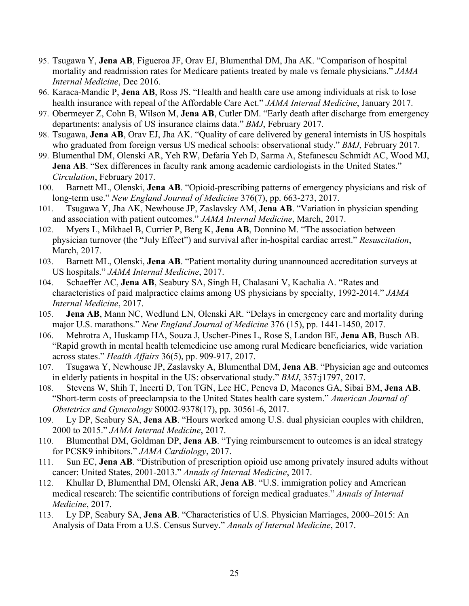- 95. Tsugawa Y, **Jena AB**, Figueroa JF, Orav EJ, Blumenthal DM, Jha AK. "Comparison of hospital mortality and readmission rates for Medicare patients treated by male vs female physicians." *JAMA Internal Medicine*, Dec 2016.
- 96. Karaca-Mandic P, **Jena AB**, Ross JS. "Health and health care use among individuals at risk to lose health insurance with repeal of the Affordable Care Act." *JAMA Internal Medicine*, January 2017.
- 97. Obermeyer Z, Cohn B, Wilson M, **Jena AB**, Cutler DM. "Early death after discharge from emergency departments: analysis of US insurance claims data." *BMJ*, February 2017.
- 98. Tsugawa, **Jena AB**, Orav EJ, Jha AK. "Quality of care delivered by general internists in US hospitals who graduated from foreign versus US medical schools: observational study." *BMJ*, February 2017.
- 99. Blumenthal DM, Olenski AR, Yeh RW, Defaria Yeh D, Sarma A, Stefanescu Schmidt AC, Wood MJ, **Jena AB.** "Sex differences in faculty rank among academic cardiologists in the United States." *Circulation*, February 2017.
- 100. Barnett ML, Olenski, **Jena AB**. "Opioid-prescribing patterns of emergency physicians and risk of long-term use." *New England Journal of Medicine* 376(7), pp. 663-273, 2017.
- 101. Tsugawa Y, Jha AK, Newhouse JP, Zaslavsky AM, **Jena AB**. "Variation in physician spending and association with patient outcomes." *JAMA Internal Medicine*, March, 2017.
- 102. Myers L, Mikhael B, Currier P, Berg K, **Jena AB**, Donnino M. "The association between physician turnover (the "July Effect") and survival after in-hospital cardiac arrest." *Resuscitation*, March, 2017.
- 103. Barnett ML, Olenski, **Jena AB**. "Patient mortality during unannounced accreditation surveys at US hospitals." *JAMA Internal Medicine*, 2017.
- 104. Schaeffer AC, **Jena AB**, Seabury SA, Singh H, Chalasani V, Kachalia A. "Rates and characteristics of paid malpractice claims among US physicians by specialty, 1992-2014." *JAMA Internal Medicine*, 2017.
- 105. **Jena AB**, Mann NC, Wedlund LN, Olenski AR. "Delays in emergency care and mortality during major U.S. marathons." *New England Journal of Medicine* 376 (15), pp. 1441-1450, 2017.
- 106. Mehrotra A, Huskamp HA, Souza J, Uscher-Pines L, Rose S, Landon BE, **Jena AB**, Busch AB. "Rapid growth in mental health telemedicine use among rural Medicare beneficiaries, wide variation across states." *Health Affairs* 36(5), pp. 909-917, 2017.
- 107. Tsugawa Y, Newhouse JP, Zaslavsky A, Blumenthal DM, **Jena AB**. "Physician age and outcomes in elderly patients in hospital in the US: observational study." *BMJ*, 357:j1797, 2017.
- 108. Stevens W, Shih T, Incerti D, Ton TGN, Lee HC, Peneva D, Macones GA, Sibai BM, **Jena AB**. "Short-term costs of preeclampsia to the United States health care system." *American Journal of Obstetrics and Gynecology* S0002-9378(17), pp. 30561-6, 2017.
- 109. Ly DP, Seabury SA, **Jena AB**. "Hours worked among U.S. dual physician couples with children, 2000 to 2015." *JAMA Internal Medicine*, 2017.
- 110. Blumenthal DM, Goldman DP, **Jena AB**. "Tying reimbursement to outcomes is an ideal strategy for PCSK9 inhibitors." *JAMA Cardiology*, 2017.
- 111. Sun EC, **Jena AB**. "Distribution of prescription opioid use among privately insured adults without cancer: United States, 2001-2013." *Annals of Internal Medicine*, 2017.
- 112. Khullar D, Blumenthal DM, Olenski AR, **Jena AB**. "U.S. immigration policy and American medical research: The scientific contributions of foreign medical graduates." *Annals of Internal Medicine*, 2017.
- 113. Ly DP, Seabury SA, **Jena AB**. "Characteristics of U.S. Physician Marriages, 2000–2015: An Analysis of Data From a U.S. Census Survey." *Annals of Internal Medicine*, 2017.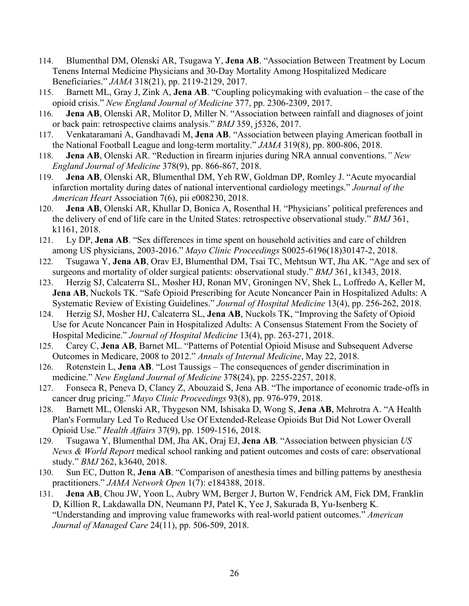- 114. Blumenthal DM, Olenski AR, Tsugawa Y, **Jena AB**. "Association Between Treatment by Locum Tenens Internal Medicine Physicians and 30-Day Mortality Among Hospitalized Medicare Beneficiaries." *JAMA* 318(21), pp. 2119-2129, 2017.
- 115. Barnett ML, Gray J, Zink A, **Jena AB**. "Coupling policymaking with evaluation the case of the opioid crisis." *New England Journal of Medicine* 377, pp. 2306-2309, 2017.
- 116. **Jena AB**, Olenski AR, Molitor D, Miller N. "Association between rainfall and diagnoses of joint or back pain: retrospective claims analysis." *BMJ* 359, j5326, 2017.
- 117. Venkataramani A, Gandhavadi M, **Jena AB**. "Association between playing American football in the National Football League and long-term mortality." *JAMA* 319(8), pp. 800-806, 2018.
- 118. **Jena AB**, Olenski AR. "Reduction in firearm injuries during NRA annual conventions.*" New England Journal of Medicine* 378(9), pp. 866-867, 2018.
- 119. **Jena AB**, Olenski AR, Blumenthal DM, Yeh RW, Goldman DP, Romley J. "Acute myocardial infarction mortality during dates of national interventional cardiology meetings." *Journal of the American Heart* Association 7(6), pii e008230, 2018.
- 120. **Jena AB**, Olenski AR, Khullar D, Bonica A, Rosenthal H. "Physicians' political preferences and the delivery of end of life care in the United States: retrospective observational study." *BMJ* 361, k1161, 2018.
- 121. Ly DP, **Jena AB**. "Sex differences in time spent on household activities and care of children among US physicians, 2003-2016." *Mayo Clinic Proceedings* S0025-6196(18)30147-2, 2018.
- 122. Tsugawa Y, **Jena AB**, Orav EJ, Blumenthal DM, Tsai TC, Mehtsun WT, Jha AK. "Age and sex of surgeons and mortality of older surgical patients: observational study." *BMJ* 361, k1343, 2018.
- 123. Herzig SJ, Calcaterra SL, Mosher HJ, Ronan MV, Groningen NV, Shek L, Loffredo A, Keller M, **Jena AB**, Nuckols TK. "Safe Opioid Prescribing for Acute Noncancer Pain in Hospitalized Adults: A Systematic Review of Existing Guidelines." *Journal of Hospital Medicine* 13(4), pp. 256-262, 2018.
- 124. Herzig SJ, Mosher HJ, Calcaterra SL, **Jena AB**, Nuckols TK, ["Improving the Safety of Opioid](https://www.ncbi.nlm.nih.gov/pubmed/29624189)  [Use for Acute Noncancer Pain in Hospitalized Adults: A Consensus Statement From the Society of](https://www.ncbi.nlm.nih.gov/pubmed/29624189)  [Hospital Medicine."](https://www.ncbi.nlm.nih.gov/pubmed/29624189) *Journal of Hospital Medicine* 13(4), pp. 263-271, 2018.
- 125. Carey C, **Jena AB**, Barnet ML. "Patterns of Potential Opioid Misuse and Subsequent Adverse Outcomes in Medicare, 2008 to 2012." *Annals of Internal Medicine*, May 22, 2018.
- 126. Rotenstein L, **Jena AB**. "Lost Taussigs The consequences of gender discrimination in medicine." *New England Journal of Medicine* 378(24), pp. 2255-2257, 2018.
- 127. Fonseca R, Peneva D, Clancy Z, Abouzaid S, Jena AB. "The importance of economic trade-offs in cancer drug pricing." *Mayo Clinic Proceedings* 93(8), pp. 976-979, 2018.
- 128. Barnett ML, Olenski AR, Thygeson NM, Ishisaka D, Wong S, **Jena AB**, Mehrotra A. "A Health Plan's Formulary Led To Reduced Use Of Extended-Release Opioids But Did Not Lower Overall Opioid Use." *Health Affairs* 37(9), pp. 1509-1516, 2018.
- 129. Tsugawa Y, Blumenthal DM, Jha AK, Oraj EJ, **Jena AB**. "Association between physician *US News & World Report* medical school ranking and patient outcomes and costs of care: observational study." *BMJ* 262, k3640, 2018.
- 130. Sun EC, Dutton R, **Jena AB**. "Comparison of anesthesia times and billing patterns by anesthesia practitioners." *JAMA Network Open* 1(7): e184388, 2018.
- 131. **Jena AB**, Chou JW, Yoon L, Aubry WM, Berger J, Burton W, Fendrick AM, Fick DM, Franklin D, Killion R, Lakdawalla DN, Neumann PJ, Patel K, Yee J, Sakurada B, Yu-Isenberg K. "Understanding and improving value frameworks with real-world patient outcomes." *American Journal of Managed Care* 24(11), pp. 506-509, 2018.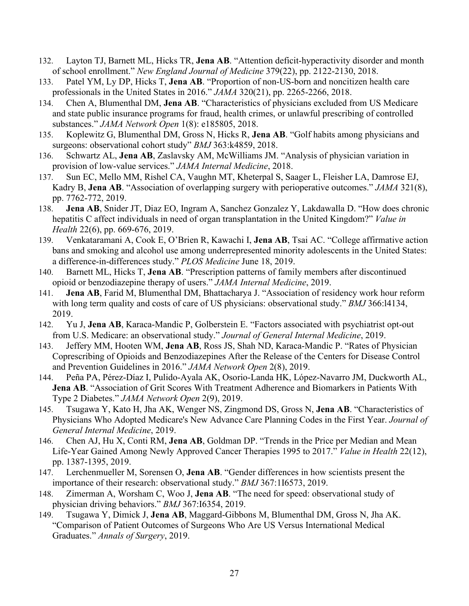- 132. Layton TJ, Barnett ML, Hicks TR, **Jena AB**. "Attention deficit-hyperactivity disorder and month of school enrollment." *New England Journal of Medicine* 379(22), pp. 2122-2130, 2018.
- 133. Patel YM, Ly DP, Hicks T, **Jena AB**. "Proportion of non-US-born and noncitizen health care professionals in the United States in 2016." *JAMA* 320(21), pp. 2265-2266, 2018.
- 134. Chen A, Blumenthal DM, **Jena AB**. "Characteristics of physicians excluded from US Medicare and state public insurance programs for fraud, health crimes, or unlawful prescribing of controlled substances." *JAMA Network Open* 1(8): e185805, 2018.
- 135. Koplewitz G, Blumenthal DM, Gross N, Hicks R, **Jena AB**. "Golf habits among physicians and surgeons: observational cohort study" *BMJ* 363:k4859, 2018.
- 136. Schwartz AL, **Jena AB**, Zaslavsky AM, McWilliams JM. "Analysis of physician variation in provision of low-value services." *JAMA Internal Medicine*, 2018.
- 137. Sun EC, Mello MM, Rishel CA, Vaughn MT, Kheterpal S, Saager L, Fleisher LA, Damrose EJ, Kadry B, **Jena AB**. "Association of overlapping surgery with perioperative outcomes." *JAMA* 321(8), pp. 7762-772, 2019.
- 138. **Jena AB**, Snider JT, Diaz EO, Ingram A, Sanchez Gonzalez Y, Lakdawalla D. "How does chronic hepatitis C affect individuals in need of organ transplantation in the United Kingdom?" *Value in Health* 22(6), pp. 669-676, 2019.
- 139. Venkataramani A, Cook E, O'Brien R, Kawachi I, **Jena AB**, Tsai AC. "College affirmative action bans and smoking and alcohol use among underrepresented minority adolescents in the United States: a difference-in-differences study." *PLOS Medicine* June 18, 2019.
- 140. Barnett ML, Hicks T, **Jena AB**. "Prescription patterns of family members after discontinued opioid or benzodiazepine therapy of users." *JAMA Internal Medicine*, 2019.
- 141. **Jena AB**, Farid M, Blumenthal DM, Bhattacharya J. "Association of residency work hour reform with long term quality and costs of care of US physicians: observational study." *BMJ* 366:l4134, 2019.
- 142. Yu J, **Jena AB**, Karaca-Mandic P, Golberstein E. "Factors associated with psychiatrist opt-out from U.S. Medicare: an observational study." *Journal of General Internal Medicine*, 2019.
- 143. Jeffery MM, Hooten WM, **Jena AB**, Ross JS, Shah ND, Karaca-Mandic P. "Rates of Physician Coprescribing of Opioids and Benzodiazepines After the Release of the Centers for Disease Control and Prevention Guidelines in 2016." *JAMA Network Open* 2(8), 2019.
- 144. Peña PA, Pérez-Díaz I, Pulido-Ayala AK, Osorio-Landa HK, López-Navarro JM, Duckworth AL, **Jena AB**. "Association of Grit Scores With Treatment Adherence and Biomarkers in Patients With Type 2 Diabetes." *JAMA Network Open* 2(9), 2019.
- 145. Tsugawa Y, Kato H, Jha AK, Wenger NS, Zingmond DS, Gross N, **Jena AB**. "Characteristics of Physicians Who Adopted Medicare's New Advance Care Planning Codes in the First Year. *Journal of General Internal Medicine*, 2019.
- 146. Chen AJ, Hu X, Conti RM, **Jena AB**, Goldman DP. "Trends in the Price per Median and Mean Life-Year Gained Among Newly Approved Cancer Therapies 1995 to 2017." *Value in Health* 22(12), pp. 1387-1395, 2019.
- 147. Lerchenmueller M, Sorensen O, **Jena AB**. "Gender differences in how scientists present the importance of their research: observational study." *BMJ* 367:1I6573, 2019.
- 148. Zimerman A, Worsham C, Woo J, **Jena AB**. "The need for speed: observational study of physician driving behaviors." *BMJ* 367:I6354, 2019.
- 149. Tsugawa Y, Dimick J, **Jena AB**, Maggard-Gibbons M, Blumenthal DM, Gross N, Jha AK. "Comparison of Patient Outcomes of Surgeons Who Are US Versus International Medical Graduates." *Annals of Surgery*, 2019.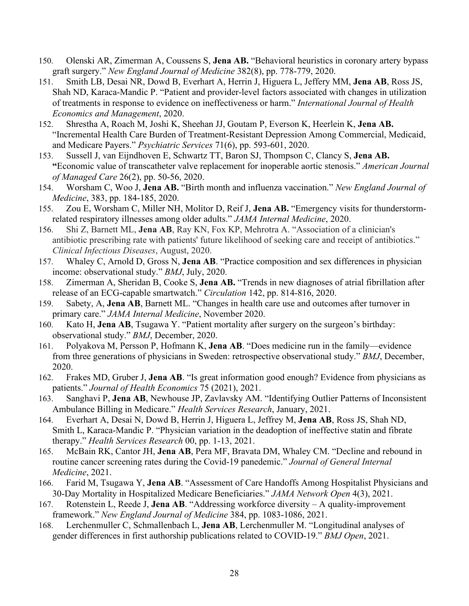- 150. Olenski AR, Zimerman A, Coussens S, **Jena AB.** "Behavioral heuristics in coronary artery bypass graft surgery." *New England Journal of Medicine* 382(8), pp. 778-779, 2020.
- 151. Smith LB, Desai NR, Dowd B, Everhart A, Herrin J, Higuera L, Jeffery MM, **Jena AB**, Ross JS, Shah ND, Karaca-Mandic P. "Patient and provider-level factors associated with changes in utilization of treatments in response to evidence on ineffectiveness or harm." *International Journal of Health Economics and Management*, 2020.
- 152. Shrestha A, Roach M, Joshi K, Sheehan JJ, Goutam P, Everson K, Heerlein K, **Jena AB.**  "Incremental Health Care Burden of Treatment-Resistant Depression Among Commercial, Medicaid, and Medicare Payers." *Psychiatric Services* 71(6), pp. 593-601, 2020.
- 153. Sussell J, van Eijndhoven E, Schwartz TT, Baron SJ, Thompson C, Clancy S, **Jena AB. "**Economic value of transcatheter valve replacement for inoperable aortic stenosis." *American Journal of Managed Care* 26(2), pp. 50-56, 2020.
- 154. Worsham C, Woo J, **Jena AB.** "Birth month and influenza vaccination." *New England Journal of Medicine*, 383, pp. 184-185, 2020.
- 155. Zou E, Worsham C, Miller NH, Molitor D, Reif J, **Jena AB.** "Emergency visits for thunderstormrelated respiratory illnesses among older adults." *JAMA Internal Medicine*, 2020.
- 156. Shi Z, Barnett ML, **Jena AB**, Ray KN, Fox KP, Mehrotra A. "Association of a clinician's antibiotic prescribing rate with patients' future likelihood of seeking care and receipt of antibiotics." *Clinical Infectious Diseases*, August, 2020.
- 157. Whaley C, Arnold D, Gross N, **Jena AB**. "Practice composition and sex differences in physician income: observational study." *BMJ*, July, 2020.
- 158. Zimerman A, Sheridan B, Cooke S, **Jena AB.** "Trends in new diagnoses of atrial fibrillation after release of an ECG-capable smartwatch." *Circulation* 142, pp. 814-816, 2020.
- 159. Sabety, A, **Jena AB**, Barnett ML. "Changes in health care use and outcomes after turnover in primary care." *JAMA Internal Medicine*, November 2020.
- 160. Kato H, **Jena AB**, Tsugawa Y. "Patient mortality after surgery on the surgeon's birthday: observational study." *BMJ*, December, 2020.
- 161. Polyakova M, Persson P, Hofmann K, **Jena AB**. "Does medicine run in the family—evidence from three generations of physicians in Sweden: retrospective observational study." *BMJ*, December, 2020.
- 162. Frakes MD, Gruber J, **Jena AB**. "Is great information good enough? Evidence from physicians as patients." *Journal of Health Economics* 75 (2021), 2021.
- 163. Sanghavi P, **Jena AB**, Newhouse JP, Zavlavsky AM. "Identifying Outlier Patterns of Inconsistent Ambulance Billing in Medicare." *Health Services Research*, January, 2021.
- 164. Everhart A, Desai N, Dowd B, Herrin J, Higuera L, Jeffrey M, **Jena AB**, Ross JS, Shah ND, Smith L, Karaca-Mandic P. "Physician variation in the deadoption of ineffective statin and fibrate therapy." *Health Services Research* 00, pp. 1-13, 2021.
- 165. McBain RK, Cantor JH, **Jena AB**, Pera MF, Bravata DM, Whaley CM. "Decline and rebound in routine cancer screening rates during the Covid-19 panedemic." *Journal of General Internal Medicine*, 2021.
- 166. Farid M, Tsugawa Y, **Jena AB**. "Assessment of Care Handoffs Among Hospitalist Physicians and 30-Day Mortality in Hospitalized Medicare Beneficiaries." *JAMA Network Open* 4(3), 2021.
- 167. Rotenstein L, Reede J, **Jena AB**. "Addressing workforce diversity A quality-improvement framework." *New England Journal of Medicine* 384, pp. 1083-1086, 2021.
- 168. Lerchenmuller C, Schmallenbach L, **Jena AB**, Lerchenmuller M. "Longitudinal analyses of gender differences in first authorship publications related to COVID-19." *BMJ Open*, 2021.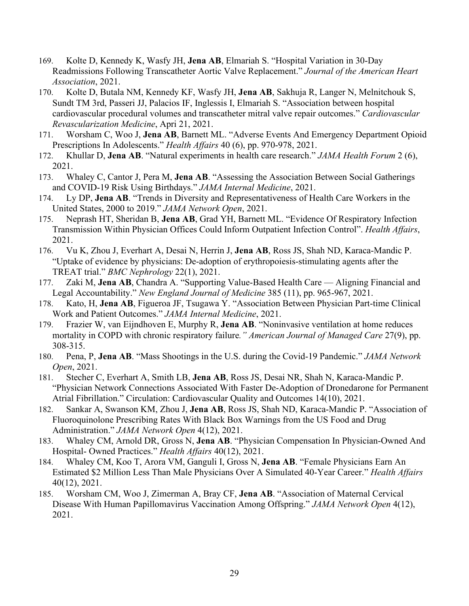- 169. Kolte D, Kennedy K, Wasfy JH, **Jena AB**, Elmariah S. "Hospital Variation in 30-Day Readmissions Following Transcatheter Aortic Valve Replacement." *Journal of the American Heart Association*, 2021.
- 170. Kolte D, Butala NM, Kennedy KF, Wasfy JH, **Jena AB**, Sakhuja R, Langer N, Melnitchouk S, Sundt TM 3rd, Passeri JJ, Palacios IF, Inglessis I, Elmariah S. "Association between hospital cardiovascular procedural volumes and transcatheter mitral valve repair outcomes." *Cardiovascular Revascularization Medicine*, Apri 21, 2021.
- 171. Worsham C, Woo J, **Jena AB**, Barnett ML. "Adverse Events And Emergency Department Opioid Prescriptions In Adolescents." *Health Affairs* 40 (6), pp. 970-978, 2021.
- 172. Khullar D, **Jena AB**. "Natural experiments in health care research." *JAMA Health Forum* 2 (6), 2021.
- 173. Whaley C, Cantor J, Pera M, **Jena AB**. "Assessing the Association Between Social Gatherings and COVID-19 Risk Using Birthdays." *JAMA Internal Medicine*, 2021.
- 174. Ly DP, **Jena AB**. "Trends in Diversity and Representativeness of Health Care Workers in the United States, 2000 to 2019." *JAMA Network Open*, 2021.
- 175. Neprash HT, Sheridan B, **Jena AB**, Grad YH, Barnett ML. "Evidence Of Respiratory Infection Transmission Within Physician Offices Could Inform Outpatient Infection Control". *Health Affairs*, 2021.
- 176. Vu K, Zhou J, Everhart A, Desai N, Herrin J, **Jena AB**, Ross JS, Shah ND, Karaca-Mandic P. "Uptake of evidence by physicians: De-adoption of erythropoiesis-stimulating agents after the TREAT trial." *BMC Nephrology* 22(1), 2021.
- 177. Zaki M, **Jena AB**, Chandra A. "Supporting Value-Based Health Care Aligning Financial and Legal Accountability." *New England Journal of Medicine* 385 (11), pp. 965-967, 2021.
- 178. Kato, H, **Jena AB**, Figueroa JF, Tsugawa Y. "Association Between Physician Part-time Clinical Work and Patient Outcomes." *JAMA Internal Medicine*, 2021.
- 179. Frazier W, van Eijndhoven E, Murphy R, **Jena AB**. "Noninvasive ventilation at home reduces mortality in COPD with chronic respiratory failure*." American Journal of Managed Care* 27(9), pp. 308-315.
- 180. Pena, P, **Jena AB**. "Mass Shootings in the U.S. during the Covid-19 Pandemic." *JAMA Network Open*, 2021.
- 181. Stecher C, Everhart A, Smith LB, **Jena AB**, Ross JS, Desai NR, Shah N, Karaca-Mandic P. "Physician Network Connections Associated With Faster De-Adoption of Dronedarone for Permanent Atrial Fibrillation." Circulation: Cardiovascular Quality and Outcomes 14(10), 2021.
- 182. Sankar A, Swanson KM, Zhou J, **Jena AB**, Ross JS, Shah ND, Karaca-Mandic P. "Association of Fluoroquinolone Prescribing Rates With Black Box Warnings from the US Food and Drug Administration." *JAMA Network Open* 4(12), 2021.
- 183. Whaley CM, Arnold DR, Gross N, **Jena AB**. "Physician Compensation In Physician-Owned And Hospital- Owned Practices." *Health Affairs* 40(12), 2021.
- 184. Whaley CM, Koo T, Arora VM, Ganguli I, Gross N, **Jena AB**. "Female Physicians Earn An Estimated \$2 Million Less Than Male Physicians Over A Simulated 40-Year Career." *Health Affairs* 40(12), 2021.
- 185. Worsham CM, Woo J, Zimerman A, Bray CF, **Jena AB**. "Association of Maternal Cervical Disease With Human Papillomavirus Vaccination Among Offspring." *JAMA Network Open* 4(12), 2021.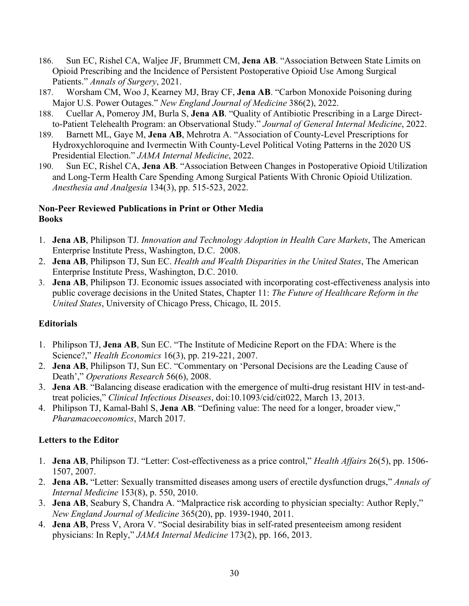- 186. Sun EC, Rishel CA, Waljee JF, Brummett CM, **Jena AB**. "Association Between State Limits on Opioid Prescribing and the Incidence of Persistent Postoperative Opioid Use Among Surgical Patients." *Annals of Surgery*, 2021.
- 187. Worsham CM, Woo J, Kearney MJ, Bray CF, **Jena AB**. "Carbon Monoxide Poisoning during Major U.S. Power Outages." *New England Journal of Medicine* 386(2), 2022.
- 188. Cuellar A, Pomeroy JM, Burla S, **Jena AB**. "Quality of Antibiotic Prescribing in a Large Directto-Patient Telehealth Program: an Observational Study." *Journal of General Internal Medicine*, 2022.
- 189. Barnett ML, Gaye M, **Jena AB**, Mehrotra A. "Association of County-Level Prescriptions for Hydroxychloroquine and Ivermectin With County-Level Political Voting Patterns in the 2020 US Presidential Election." *JAMA Internal Medicine*, 2022.
- 190. Sun EC, Rishel CA, **Jena AB**. "Association Between Changes in Postoperative Opioid Utilization and Long-Term Health Care Spending Among Surgical Patients With Chronic Opioid Utilization. *Anesthesia and Analgesia* 134(3), pp. 515-523, 2022.

### **Non-Peer Reviewed Publications in Print or Other Media Books**

- 1. **Jena AB**, Philipson TJ. *Innovation and Technology Adoption in Health Care Markets*, The American Enterprise Institute Press, Washington, D.C. 2008.
- 2. **Jena AB**, Philipson TJ, Sun EC. *Health and Wealth Disparities in the United States*, The American Enterprise Institute Press, Washington, D.C. 2010.
- 3. **Jena AB**, Philipson TJ. Economic issues associated with incorporating cost-effectiveness analysis into public coverage decisions in the United States, Chapter 11: *The Future of Healthcare Reform in the United States*, University of Chicago Press, Chicago, IL 2015.

## **Editorials**

- 1. Philipson TJ, **Jena AB**, Sun EC. "The Institute of Medicine Report on the FDA: Where is the Science?," *Health Economics* 16(3), pp. 219-221, 2007.
- 2. **Jena AB**, Philipson TJ, Sun EC. "Commentary on 'Personal Decisions are the Leading Cause of Death'," *Operations Research* 56(6), 2008.
- 3. **Jena AB**. "Balancing disease eradication with the emergence of multi-drug resistant HIV in test-andtreat policies," *Clinical Infectious Diseases*, doi:10.1093/cid/cit022, March 13, 2013.
- 4. Philipson TJ, Kamal-Bahl S, **Jena AB**. "Defining value: The need for a longer, broader view," *Pharamacoeconomics*, March 2017.

## **Letters to the Editor**

- 1. **Jena AB**, Philipson TJ. "Letter: Cost-effectiveness as a price control," *Health Affairs* 26(5), pp. 1506- 1507, 2007.
- 2. **Jena AB.** "Letter: Sexually transmitted diseases among users of erectile dysfunction drugs," *Annals of Internal Medicine* 153(8), p. 550, 2010.
- 3. **Jena AB**, Seabury S, Chandra A. "Malpractice risk according to physician specialty: Author Reply," *New England Journal of Medicine* 365(20), pp. 1939-1940, 2011.
- 4. **Jena AB**, Press V, Arora V. "Social desirability bias in self-rated presenteeism among resident physicians: In Reply," *JAMA Internal Medicine* 173(2), pp. 166, 2013.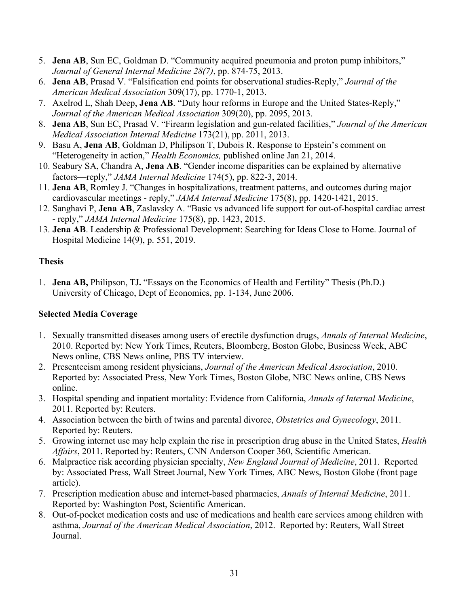- 5. **Jena AB**, Sun EC, Goldman D. "Community acquired pneumonia and proton pump inhibitors," *Journal of General Internal Medicine 28(7)*, pp. 874-75, 2013.
- 6. **Jena AB**, Prasad V. "Falsification end points for observational studies-Reply," *Journal of the American Medical Association* 309(17), pp. 1770-1, 2013.
- 7. Axelrod L, Shah Deep, **Jena AB**. "Duty hour reforms in Europe and the United States-Reply," *Journal of the American Medical Association* 309(20), pp. 2095, 2013.
- 8. **Jena AB**, Sun EC, Prasad V. "Firearm legislation and gun-related facilities," *Journal of the American Medical Association Internal Medicine* 173(21), pp. 2011, 2013.
- 9. Basu A, **Jena AB**, Goldman D, Philipson T, Dubois R. Response to Epstein's comment on "Heterogeneity in action," *Health Economics,* published online Jan 21, 2014.
- 10. Seabury SA, Chandra A, **Jena AB**. "Gender income disparities can be explained by alternative factors—reply," *JAMA Internal Medicine* 174(5), pp. 822-3, 2014.
- 11. **Jena AB**, Romley J. "Changes in hospitalizations, treatment patterns, and outcomes during major cardiovascular meetings - reply," *JAMA Internal Medicine* 175(8), pp. 1420-1421, 2015.
- 12. Sanghavi P, **Jena AB**, Zaslavsky A. "Basic vs advanced life support for out-of-hospital cardiac arrest - reply," *JAMA Internal Medicine* 175(8), pp. 1423, 2015.
- 13. **Jena AB**. Leadership & Professional Development: Searching for Ideas Close to Home. Journal of Hospital Medicine 14(9), p. 551, 2019.

## **Thesis**

1. **Jena AB,** Philipson, TJ**.** "Essays on the Economics of Health and Fertility" Thesis (Ph.D.)— University of Chicago, Dept of Economics, pp. 1-134, June 2006.

## **Selected Media Coverage**

- 1. Sexually transmitted diseases among users of erectile dysfunction drugs, *Annals of Internal Medicine*, 2010. Reported by: New York Times, Reuters, Bloomberg, Boston Globe, Business Week, ABC News online, CBS News online, PBS TV interview.
- 2. Presenteeism among resident physicians, *Journal of the American Medical Association*, 2010. Reported by: Associated Press, New York Times, Boston Globe, NBC News online, CBS News online.
- 3. Hospital spending and inpatient mortality: Evidence from California, *Annals of Internal Medicine*, 2011. Reported by: Reuters.
- 4. Association between the birth of twins and parental divorce, *Obstetrics and Gynecology*, 2011. Reported by: Reuters.
- 5. Growing internet use may help explain the rise in prescription drug abuse in the United States, *Health Affairs*, 2011. Reported by: Reuters, CNN Anderson Cooper 360, Scientific American.
- 6. Malpractice risk according physician specialty, *New England Journal of Medicine*, 2011. Reported by: Associated Press, Wall Street Journal, New York Times, ABC News, Boston Globe (front page article).
- 7. Prescription medication abuse and internet-based pharmacies, *Annals of Internal Medicine*, 2011. Reported by: Washington Post, Scientific American.
- 8. Out-of-pocket medication costs and use of medications and health care services among children with asthma, *Journal of the American Medical Association*, 2012. Reported by: Reuters, Wall Street Journal.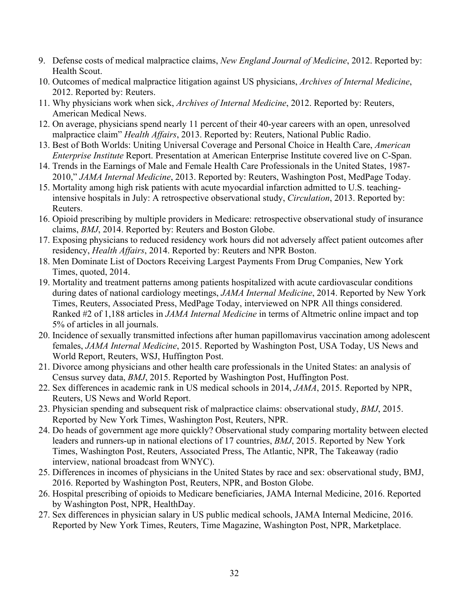- 9. Defense costs of medical malpractice claims, *New England Journal of Medicine*, 2012. Reported by: Health Scout.
- 10. Outcomes of medical malpractice litigation against US physicians, *Archives of Internal Medicine*, 2012. Reported by: Reuters.
- 11. Why physicians work when sick, *Archives of Internal Medicine*, 2012. Reported by: Reuters, American Medical News.
- 12. On average, physicians spend nearly 11 percent of their 40-year careers with an open, unresolved malpractice claim" *Health Affairs*, 2013. Reported by: Reuters, National Public Radio.
- 13. Best of Both Worlds: Uniting Universal Coverage and Personal Choice in Health Care, *American Enterprise Institute* Report. Presentation at American Enterprise Institute covered live on C-Span.
- 14. Trends in the Earnings of Male and Female Health Care Professionals in the United States, 1987- 2010," *JAMA Internal Medicine*, 2013. Reported by: Reuters, Washington Post, MedPage Today.
- 15. Mortality among high risk patients with acute myocardial infarction admitted to U.S. teachingintensive hospitals in July: A retrospective observational study, *Circulation*, 2013. Reported by: Reuters.
- 16. Opioid prescribing by multiple providers in Medicare: retrospective observational study of insurance claims, *BMJ*, 2014. Reported by: Reuters and Boston Globe.
- 17. Exposing physicians to reduced residency work hours did not adversely affect patient outcomes after residency, *Health Affairs*, 2014. Reported by: Reuters and NPR Boston.
- 18. Men Dominate List of Doctors Receiving Largest Payments From Drug Companies, New York Times, quoted, 2014.
- 19. Mortality and treatment patterns among patients hospitalized with acute cardiovascular conditions during dates of national cardiology meetings, *JAMA Internal Medicine*, 2014. Reported by New York Times, Reuters, Associated Press, MedPage Today, interviewed on NPR All things considered. Ranked #2 of 1,188 articles in *JAMA Internal Medicine* in terms of Altmetric online impact and top 5% of articles in all journals.
- 20. Incidence of sexually transmitted infections after human papillomavirus vaccination among adolescent females, *JAMA Internal Medicine*, 2015. Reported by Washington Post, USA Today, US News and World Report, Reuters, WSJ, Huffington Post.
- 21. Divorce among physicians and other health care professionals in the United States: an analysis of Census survey data, *BMJ*, 2015. Reported by Washington Post, Huffington Post.
- 22. Sex differences in academic rank in US medical schools in 2014, *JAMA*, 2015. Reported by NPR, Reuters, US News and World Report.
- 23. Physician spending and subsequent risk of malpractice claims: observational study, *BMJ*, 2015. Reported by New York Times, Washington Post, Reuters, NPR.
- 24. Do heads of government age more quickly? Observational study comparing mortality between elected leaders and runners-up in national elections of 17 countries, *BMJ*, 2015. Reported by New York Times, Washington Post, Reuters, Associated Press, The Atlantic, NPR, The Takeaway (radio interview, national broadcast from WNYC).
- 25. Differences in incomes of physicians in the United States by race and sex: observational study, BMJ, 2016. Reported by Washington Post, Reuters, NPR, and Boston Globe.
- 26. Hospital prescribing of opioids to Medicare beneficiaries, JAMA Internal Medicine, 2016. Reported by Washington Post, NPR, HealthDay.
- 27. Sex differences in physician salary in US public medical schools, JAMA Internal Medicine, 2016. Reported by New York Times, Reuters, Time Magazine, Washington Post, NPR, Marketplace.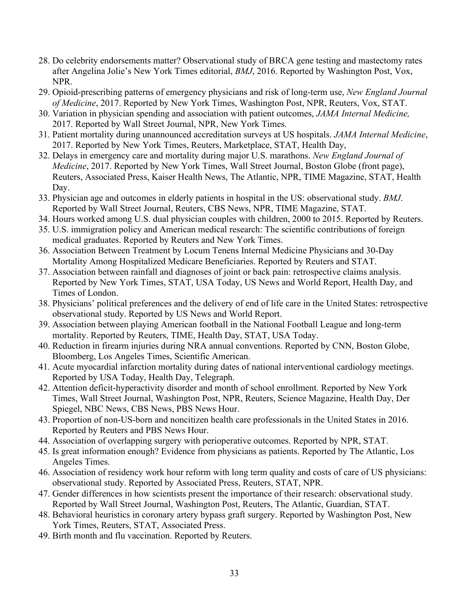- 28. Do celebrity endorsements matter? Observational study of BRCA gene testing and mastectomy rates after Angelina Jolie's New York Times editorial, *BMJ*, 2016. Reported by Washington Post, Vox, NPR.
- 29. Opioid-prescribing patterns of emergency physicians and risk of long-term use, *New England Journal of Medicine*, 2017. Reported by New York Times, Washington Post, NPR, Reuters, Vox, STAT.
- 30. Variation in physician spending and association with patient outcomes, *JAMA Internal Medicine,* 2017. Reported by Wall Street Journal, NPR, New York Times.
- 31. Patient mortality during unannounced accreditation surveys at US hospitals. *JAMA Internal Medicine*, 2017. Reported by New York Times, Reuters, Marketplace, STAT, Health Day,
- 32. Delays in emergency care and mortality during major U.S. marathons. *New England Journal of Medicine*, 2017. Reported by New York Times, Wall Street Journal, Boston Globe (front page), Reuters, Associated Press, Kaiser Health News, The Atlantic, NPR, TIME Magazine, STAT, Health Day.
- 33. Physician age and outcomes in elderly patients in hospital in the US: observational study. *BMJ*. Reported by Wall Street Journal, Reuters, CBS News, NPR, TIME Magazine, STAT.
- 34. Hours worked among U.S. dual physician couples with children, 2000 to 2015. Reported by Reuters.
- 35. U.S. immigration policy and American medical research: The scientific contributions of foreign medical graduates. Reported by Reuters and New York Times.
- 36. Association Between Treatment by Locum Tenens Internal Medicine Physicians and 30-Day Mortality Among Hospitalized Medicare Beneficiaries. Reported by Reuters and STAT.
- 37. Association between rainfall and diagnoses of joint or back pain: retrospective claims analysis. Reported by New York Times, STAT, USA Today, US News and World Report, Health Day, and Times of London.
- 38. Physicians' political preferences and the delivery of end of life care in the United States: retrospective observational study. Reported by US News and World Report.
- 39. Association between playing American football in the National Football League and long-term mortality. Reported by Reuters, TIME, Health Day, STAT, USA Today.
- 40. Reduction in firearm injuries during NRA annual conventions. Reported by CNN, Boston Globe, Bloomberg, Los Angeles Times, Scientific American.
- 41. Acute myocardial infarction mortality during dates of national interventional cardiology meetings. Reported by USA Today, Health Day, Telegraph.
- 42. Attention deficit-hyperactivity disorder and month of school enrollment. Reported by New York Times, Wall Street Journal, Washington Post, NPR, Reuters, Science Magazine, Health Day, Der Spiegel, NBC News, CBS News, PBS News Hour.
- 43. Proportion of non-US-born and noncitizen health care professionals in the United States in 2016. Reported by Reuters and PBS News Hour.
- 44. Association of overlapping surgery with perioperative outcomes. Reported by NPR, STAT.
- 45. Is great information enough? Evidence from physicians as patients. Reported by The Atlantic, Los Angeles Times.
- 46. Association of residency work hour reform with long term quality and costs of care of US physicians: observational study. Reported by Associated Press, Reuters, STAT, NPR.
- 47. Gender differences in how scientists present the importance of their research: observational study. Reported by Wall Street Journal, Washington Post, Reuters, The Atlantic, Guardian, STAT.
- 48. Behavioral heuristics in coronary artery bypass graft surgery. Reported by Washington Post, New York Times, Reuters, STAT, Associated Press.
- 49. Birth month and flu vaccination. Reported by Reuters.